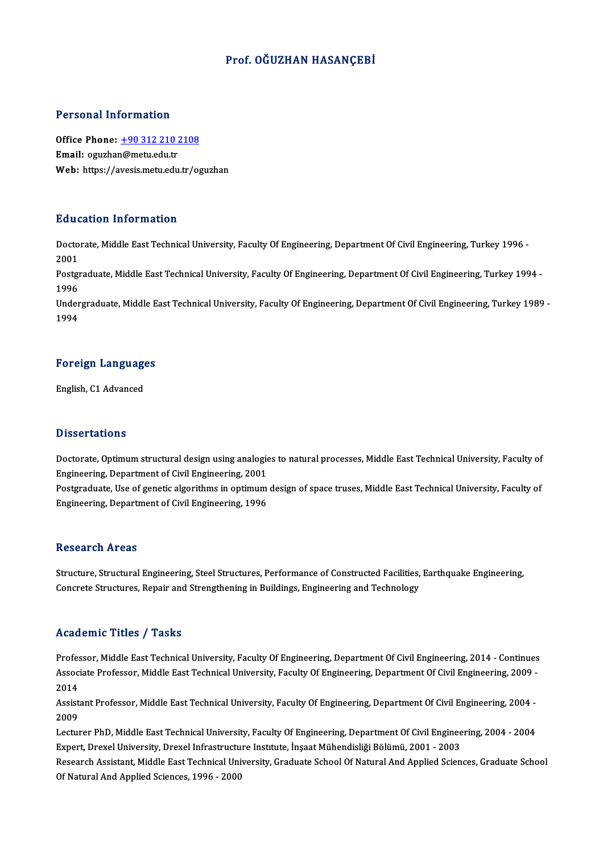## Prof. OĞUZHAN HASANÇEBİ

## Personal Information

Personal Information<br>Office Phone: <u>+90 312 210 2108</u><br>Email: equator@matu.edu.tr Procedure Historical<br>Office Phone: <u>+90 312 210 2</u><br>Email: oguzha[n@metu.edu.tr](tel:+90 312 210 2108) Email: oguzhan@metu.edu.tr<br>Web: https://avesis.metu.edu.tr/oguzhan

## Education Information

**Education Information**<br>Doctorate, Middle East Technical University, Faculty Of Engineering, Department Of Civil Engineering, Turkey 1996 -<br>2001 Bata<br>Docto<br>2001 Doctorate, Middle East Technical University, Faculty Of Engineering, Department Of Civil Engineering, Turkey 1996 -<br>2001<br>Postgraduate, Middle East Technical University, Faculty Of Engineering, Department Of Civil Engineeri

2001<br>Postgi<br>1996<br>Under Postgraduate, Middle East Technical University, Faculty Of Engineering, Department Of Civil Engineering, Turkey 1994 -<br>1996<br>Undergraduate, Middle East Technical University, Faculty Of Engineering, Department Of Civil Engin

1996<br>Undergraduate, Middle East Technical University, Faculty Of Engineering, Department Of Civil Engineering, Turkey 1989 -<br>1994

## 1<sup>994</sup><br>Foreign Languages <mark>Foreign Languag</mark><br>English, C1 Advanced

English, C1 Advanced<br>Dissertations

Dissertations<br>Doctorate, Optimum structural design using analogies to natural processes, Middle East Technical University, Faculty of<br>Engineering, Department of Civil Engineering, 2001 Engious catronic<br>Doctorate, Optimum structural design using analogie<br>Engineering, Department of Civil Engineering, 2001<br>Postsraduate Use of senatis alsorithms in optimum Doctorate, Optimum structural design using analogies to natural processes, Middle East Technical University, Faculty of<br>Engineering, Department of Civil Engineering, 2001<br>Postgraduate, Use of genetic algorithms in optimum

Engineering, Department of Civil Engineering, 2001<br>Postgraduate, Use of genetic algorithms in optimum design of space truses, Middle East Technical University, Faculty of<br>Engineering, Department of Civil Engineering, 1996

## **Research Areas**

Research Areas<br>Structure, Structural Engineering, Steel Structures, Performance of Constructed Facilities, Earthquake Engineering,<br>Congrete Structures, Pensin and Strengthoning in Puildings, Engineering and Technology. resear en 11 cas<br>Structure, Structural Engineering, Steel Structures, Performance of Constructed Facilities,<br>Concrete Structures, Repair and Strengthening in Buildings, Engineering and Technology Concrete Structures, Repair and Strengthening in Buildings, Engineering and Technology<br>Academic Titles / Tasks

Academic Titles / Tasks<br>Professor, Middle East Technical University, Faculty Of Engineering, Department Of Civil Engineering, 2014 - Continues<br>Associate Professor, Middle Fest Technical University, Faculty Of Engineering, AssociateMice Profes / Profes<br>Professor, Middle East Technical University, Faculty Of Engineering, Department Of Civil Engineering, 2014 - Continues<br>Associate Professor, Middle East Technical University, Faculty Of Enginee Profes<br>Assoc<br>2014<br>Assist Associate Professor, Middle East Technical University, Faculty Of Engineering, Department Of Civil Engineering, 2009 -<br>2014<br>Assistant Professor, Middle East Technical University, Faculty Of Engineering, Department Of Civil

2014<br>Assist<br>2009<br>Lectur Assistant Professor, Middle East Technical University, Faculty Of Engineering, Department Of Civil Engineering, 2004 -<br>2009<br>Lecturer PhD, Middle East Technical University, Faculty Of Engineering, Department Of Civil Engine

2009<br>Lecturer PhD, Middle East Technical University, Faculty Of Engineering, Department Of Civil Enginee<br>Expert, Drexel University, Drexel Infrastructure Institute, İnşaat Mühendisliği Bölümü, 2001 - 2003<br>Pesearsh Assistan

Lecturer PhD, Middle East Technical University, Faculty Of Engineering, Department Of Civil Engineering, 2004 - 2004<br>Expert, Drexel University, Drexel Infrastructure Institute, İnşaat Mühendisliği Bölümü, 2001 - 2003<br>Resea Expert, Drexel University, Drexel Infrastructu<br>Research Assistant, Middle East Technical Uni<br>Of Natural And Applied Sciences, 1996 - 2000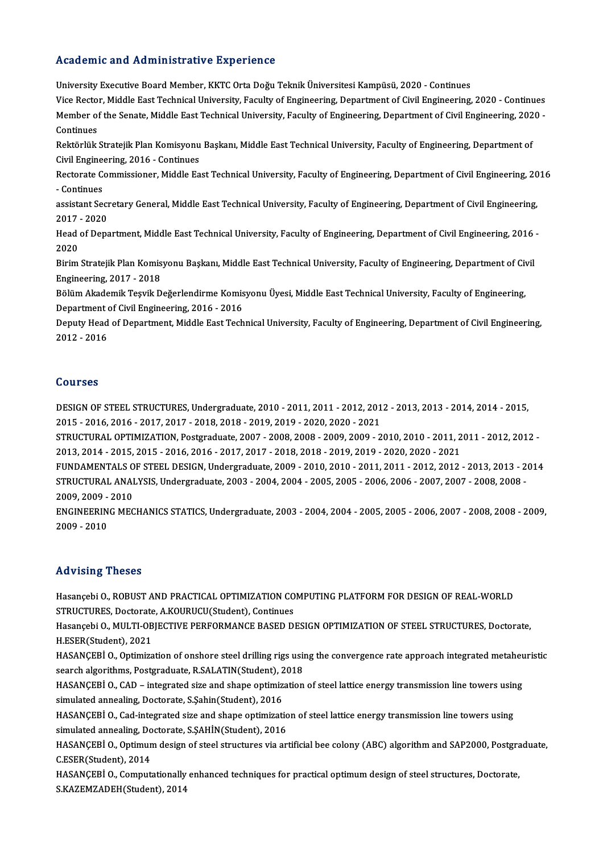## Academic and Administrative Experience

University Executive Board Member, KKTC Orta Doğu Teknik Üniversitesi Kampüsü, 2020 - Continues Vice Rector, Middle East Technical University, Faculty of Engineering, Department of Civil Engineering, 2020 - Continues University Executive Board Member, KKTC Orta Doğu Teknik Üniversitesi Kampüsü, 2020 - Continues<br>Vice Rector, Middle East Technical University, Faculty of Engineering, Department of Civil Engineering, 2020 -<br>Member of the S Vice Recto<br>Member of<br>Continues<br>Poltörlük Member of the Senate, Middle East Technical University, Faculty of Engineering, Department of Civil Engineering, 202<br>Continues<br>Rektörlük Stratejik Plan Komisyonu Başkanı, Middle East Technical University, Faculty of Engine

Continues<br>Rektörlük Stratejik Plan Komisyonu<br>Civil Engineering, 2016 - Continues<br>Restanste Commissioner, Middle Fe Rektörlük Stratejik Plan Komisyonu Başkanı, Middle East Technical University, Faculty of Engineering, Department of<br>Civil Engineering, 2016 - Continues<br>Rectorate Commissioner, Middle East Technical University, Faculty of E

Civil Engine<br>Rectorate Continues<br>Continues Rectorate Commissioner, Middle East Technical University, Faculty of Engineering, Department of Civil Engineering, 20<br>- Continues<br>assistant Secretary General, Middle East Technical University, Faculty of Engineering, Depar

- Continues<br>assistant Secretary General, Middle East Technical University, Faculty of Engineering, Department of Civil Engineering,<br>2017 - 2020 assistant Secretary General, Middle East Technical University, Faculty of Engineering, Department of Civil Engineering,<br>2017 - 2020<br>Head of Department, Middle East Technical University, Faculty of Engineering, Department o

2017<br>Head<br>2020<br><sup>Pirim</sup> Head of Department, Middle East Technical University, Faculty of Engineering, Department of Civil Engineering, 2016<br>2020<br>Birim Stratejik Plan Komisyonu Başkanı, Middle East Technical University, Faculty of Engineering, Dep

2020<br>Birim Stratejik Plan Komisyonu Başkanı, Middle East Technical University, Faculty of Engineering, Department of Civil<br>Engineering, 2017 - 2018 Birim Stratejik Plan Komisyonu Başkanı, Middle East Technical University, Faculty of Engineering, Department of Civ<br>Engineering, 2017 - 2018<br>Bölüm Akademik Teşvik Değerlendirme Komisyonu Üyesi, Middle East Technical Univer

Engineering, 2017 - 2018<br>Bölüm Akademik Teşvik Değerlendirme Komis<br>Department of Civil Engineering, 2016 - 2016<br>Deputy Heed of Department, Middle Fest Tesh Bölüm Akademik Teşvik Değerlendirme Komisyonu Üyesi, Middle East Technical University, Faculty of Engineering,<br>Department of Civil Engineering, 2016 - 2016<br>Deputy Head of Department, Middle East Technical University, Facul

Department of Civil Engineering, 2016 - 2016<br>Deputy Head of Department, Middle East Technical University, Faculty of Engineering, Department of Civil Engineering,<br>2012 - 2016

## Courses

Courses<br>DESIGN OF STEEL STRUCTURES, Undergraduate, 2010 - 2011, 2011 - 2012, 2012 - 2013, 2013 - 2014, 2014 - 2015,<br>2015 - 2016, 2016, 2017, 2017, 2018, 2018, 2019, 2019, 2020, 2020, 2021, 2011565<br>2015 - DESIGN OF STEEL STRUCTURES, Undergraduate, 2010 - 2011, 2011 - 2012, 201<br>2015 - 2016, 2016 - 2017, 2017 - 2018, 2018 - 2019, 2019 - 2020, 2020 - 2021<br>2009, 2009, 2009, 2009, 2009, 2009, 2009, 2009, 2009, 200 DESIGN OF STEEL STRUCTURES, Undergraduate, 2010 - 2011, 2011 - 2012, 2012 - 2013, 2013 - 2014, 2014 - 2015,<br>2015 - 2016, 2016 - 2017, 2017 - 2018, 2018 - 2019, 2019 - 2020, 2020 - 2021<br>STRUCTURAL OPTIMIZATION, Postgraduate

2015 - 2016, 2016 - 2017, 2017 - 2018, 2018 - 2019, 2019 - 2020, 2020 - 2021<br>STRUCTURAL OPTIMIZATION, Postgraduate, 2007 - 2008, 2008 - 2009, 2009 - 2010, 2010 - 2011, 2<br>2013, 2014 - 2015, 2015 - 2016, 2016 - 2017, 2017 - STRUCTURAL OPTIMIZATION, Postgraduate, 2007 - 2008, 2008 - 2009, 2009 - 2010, 2010 - 2011, 2011 - 2012, 2012 -<br>2013, 2014 - 2015, 2015 - 2016, 2016 - 2017, 2017 - 2018, 2018 - 2019, 2019 - 2020, 2020 - 2021<br>FUNDAMENTALS OF

2013, 2014 - 2015, 2015 - 2016, 2016 - 2017, 2017 - 2018, 2018 - 2019, 2019 - 2020, 2020 - 2021<br>FUNDAMENTALS OF STEEL DESIGN, Undergraduate, 2009 - 2010, 2010 - 2011, 2011 - 2012, 2012 - 2013, 2013 - 2<br>STRUCTURAL ANALYSIS, **FUNDAMENTALS O<br>STRUCTURAL ANAI<br>2009, 2009 - 2010<br>ENCINEERING MEC** STRUCTURAL ANALYSIS, Undergraduate, 2003 - 2004, 2004 - 2005, 2005 - 2006, 2006 - 2007, 2007 - 2008, 2008 -<br>2009, 2009 - 2010<br>ENGINEERING MECHANICS STATICS, Undergraduate, 2003 - 2004, 2004 - 2005, 2005 - 2006, 2007 - 2008

2009, 2009 - 2010<br>ENGINEERING MECHANICS STATICS, Undergraduate, 2003 - 2004, 2004 - 2005, 2005 - 2006, 2007 - 2008, 2008 - 2009,<br>2009 - 2010

## Advising Theses

Advising Theses<br>Hasançebi O., ROBUST AND PRACTICAL OPTIMIZATION COMPUTING PLATFORM FOR DESIGN OF REAL-WORLD<br>STRUCTURES, Desterate A KOURUCU(Student), Centinues TRUVISHIS TRESES<br>Hasançebi O., ROBUST AND PRACTICAL OPTIMIZATION CO<br>STRUCTURES, Doctorate, A.KOURUCU(Student), Continues<br>Hasansabi O. MULTI OBIECTIVE BEREODMANCE BASED DI Hasançebi O., ROBUST AND PRACTICAL OPTIMIZATION COMPUTING PLATFORM FOR DESIGN OF REAL-WORLD<br>STRUCTURES, Doctorate, A.KOURUCU(Student), Continues<br>Hasançebi O., MULTI-OBJECTIVE PERFORMANCE BASED DESIGN OPTIMIZATION OF STEEL

STRUCTURES, Doctorate<br>Hasançebi O., MULTI-OB<br>H.ESER(Student), 2021<br>HASANCERLO, Ontimira Hasançebi O., MULTI-OBJECTIVE PERFORMANCE BASED DESIGN OPTIMIZATION OF STEEL STRUCTURES, Doctorate,<br>H.ESER(Student), 2021<br>HASANÇEBİ O., Optimization of onshore steel drilling rigs using the convergence rate approach integr

H.ESER(Student), 2021<br>HASANÇEBİ O., Optimization of onshore steel drilling rigs usin<br>search algorithms, Postgraduate, R.SALATIN(Student), 2018<br>HASANCERÍ O. CAD., integrated sire and shane ontimization HASANÇEBİ O., Optimization of onshore steel drilling rigs using the convergence rate approach integrated metaheu<br>search algorithms, Postgraduate, R.SALATIN(Student), 2018<br>HASANÇEBİ O., CAD – integrated size and shape optim

search algorithms, Postgraduate, R.SALATIN(Student), 2018<br>HASANÇEBİ O., CAD – integrated size and shape optimization<br>simulated annealing, Doctorate, S.Şahin(Student), 2016 HASANÇEBİO., CAD – integrated size and shape optimization of steel lattice energy transmission line towers using

HASANÇEBİ O., Cad-integrated size and shape optimization of steel lattice energy transmission line towers using HASANÇEBİ O., Cad-integrated size and shape optimization of steel lattice energy transmission line towers using<br>simulated annealing, Doctorate, S.ŞAHİN(Student), 2016<br>HASANÇEBİ O., Optimum design of steel structures via ar

simulated annealing, Doctorate, S.ȘAHİN(Student), 2016<br>HASANÇEBİ O., Optimum design of steel structures via ar<br>C.ESER(Student), 2014 HASANÇEBİ O., Optimum design of steel structures via artificial bee colony (ABC) algorithm and SAP2000, Postgra<br>C.ESER(Student), 2014<br>HASANÇEBİ O., Computationally enhanced techniques for practical optimum design of steel

HASANÇEBİ O., Computationally enhanced techniques for practical optimum design of steel structures, Doctorate,<br>S.KAZEMZADEH(Student), 2014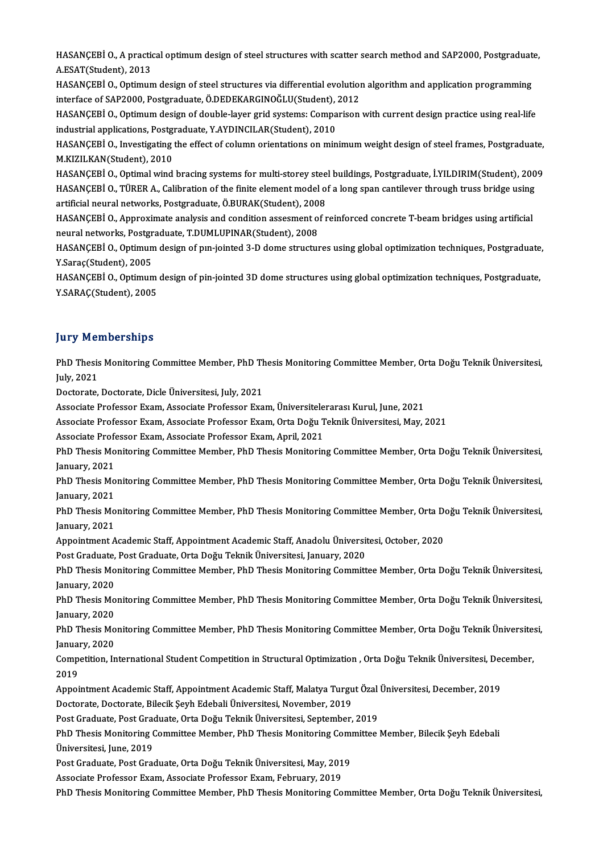HASANÇEBİ O., A practical optimum design of steel structures with scatter search method and SAP2000, Postgraduate,<br>A FSAT(Student), 2012 HASANÇEBİ O., A praction<br>A.ESAT(Student), 2013<br>HASANCEBİ O. Qatimun HASANÇEBİ O., A practical optimum design of steel structures with scatter search method and SAP2000, Postgraduat<br>A.ESAT(Student), 2013<br>HASANÇEBİ O., Optimum design of steel structures via differential evolution algorithm a

A.ESAT(Student), 2013<br>HASANÇEBİ O., Optimum design of steel structures via differential evolution<br>interface of SAP2000, Postgraduate, Ö.DEDEKARGINOĞLU(Student), 2012<br>HASANGERİ O. Optimum design of dauble lavar grid systems HASANÇEBİ O., Optimum design of steel structures via differential evolution algorithm and application programming<br>interface of SAP2000, Postgraduate, Ö.DEDEKARGINOĞLU(Student), 2012<br>HASANÇEBİ O., Optimum design of double-l

interface of SAP2000, Postgraduate, Ö.DEDEKARGINOĞLU(Student),<br>HASANÇEBİ O., Optimum design of double-layer grid systems: Compa<br>industrial applications, Postgraduate, Y.AYDINCILAR(Student), 2010<br>HASANCERLO, Investigative t HASANÇEBİ O., Optimum design of double-layer grid systems: Comparison with current design practice using real-life<br>industrial applications, Postgraduate, Y.AYDINCILAR(Student), 2010<br>HASANÇEBİ O., Investigating the effect o

industrial applications, Postg<br>HASANÇEBİ O., Investigating<br>M.KIZILKAN(Student), 2010<br>HASANÇEBİ O. Ontimal wind HASANÇEBİ O., Investigating the effect of column orientations on minimum weight design of steel frames, Postgraduate,<br>M.KIZILKAN(Student), 2010<br>HASANÇEBİ O., Optimal wind bracing systems for multi-storey steel buildings, P

M.KIZILKAN(Student), 2010<br>HASANÇEBİ O., Optimal wind bracing systems for multi-storey steel buildings, Postgraduate, İ.YILDIRIM(Student), 200<br>HASANÇEBİ O., TÜRER A., Calibration of the finite element model of a long span c HASANÇEBİ O., Optimal wind bracing systems for multi-storey stee<br>HASANÇEBİ O., TÜRER A., Calibration of the finite element model of<br>artificial neural networks, Postgraduate, Ö.BURAK(Student), 2008<br>HASANCERLO, Approximate a HASANÇEBİ O., TÜRER A., Calibration of the finite element model of a long span cantilever through truss bridge using<br>artificial neural networks, Postgraduate, Ö.BURAK(Student), 2008<br>HASANÇEBİ O., Approximate analysis and c

artificial neural networks, Postgraduate, Ö.BURAK(Student), 2008<br>HASANÇEBİ O., Approximate analysis and condition assesment of reinforced concrete T-beam bridges using artificial<br>neural networks, Postgraduate, T.DUMLUPINAR HASANÇEBİ O., Approximate analysis and condition assesment of reinforced concrete T-beam bridges using artificial<br>neural networks, Postgraduate, T.DUMLUPINAR(Student), 2008<br>HASANÇEBİ O., Optimum design of pın-jointed 3-D d

neural networks, Postgr<br>HASANÇEBİ O., Optimun<br>Y.Saraç(Student), 2005<br>HASANCEBİ O. Optimun HASANÇEBİ O., Optimum design of pın-jointed 3-D dome structures using global optimization techniques, Postgraduate<br>Y.Saraç(Student), 2005<br>HASANÇEBİ O., Optimum design of pin-jointed 3D dome structures using global optimiza

Y.Saraç(Student), 2005<br>HASANÇEBİ O., Optimum design of pin-jointed 3D dome structures using global optimization techniques, Postgraduate,<br>Y.SARAÇ(Student), 2005

## **Jury Memberships**

**Jury Memberships**<br>PhD Thesis Monitoring Committee Member, PhD Thesis Monitoring Committee Member, Orta Doğu Teknik Üniversitesi,<br>July 2021 PhD Thesis<br>July, 2021<br>Dectarate PhD Thesis Monitoring Committee Member, PhD Th<br>July, 2021<br>Doctorate, Doctorate, Dicle Üniversitesi, July, 2021<br>Associate Professor Fram, Associate Professor Fra

July, 2021<br>Doctorate, Doctorate, Dicle Üniversitesi, July, 2021<br>Associate Professor Exam, Associate Professor Exam, Üniversitelerarası Kurul, June, 2021 Associate Professor Exam, Associate Professor Exam, Üniversitele<br>Associate Professor Exam, Associate Professor Exam, Orta Doğu T<br>Associate Professor Exam, Associate Professor Exam, April, 2021<br>PhD Thesis Monitoring Committ

Doctorate, Doctorate, Dicle Üniversitesi, July, 2021<br>Associate Professor Exam, Associate Professor Exam, Üniversitelerarası Kurul, June, 2021<br>Associate Professor Exam, Associate Professor Exam, Orta Doğu Teknik Üniversites

Associate Professor Exam, Associate Professor Exam, April, 2021

PhD Thesis Monitoring Committee Member, PhD Thesis Monitoring Committee Member, Orta Doğu Teknik Üniversitesi,<br>January, 2021 PhD Thesis Monitoring Committee Member, PhD Thesis Monitoring Committee Member, Orta Doğu Teknik Üniversitesi,<br>January, 2021<br>PhD Thesis Monitoring Committee Member, PhD Thesis Monitoring Committee Member, Orta Doğu Teknik

January, 2021<br>PhD Thesis Mo<br>January, 2021<br>PhD Thesis Mo PhD Thesis Monitoring Committee Member, PhD Thesis Monitoring Committee Member, Orta Doğu Teknik Üniversitesi,<br>January, 2021<br>PhD Thesis Monitoring Committee Member, PhD Thesis Monitoring Committee Member, Orta Doğu Teknik

January, 2021<br>PhD Thesis Mo<br>January, 2021<br>Anneintment A PhD Thesis Monitoring Committee Member, PhD Thesis Monitoring Committee Member, Orta Do<br>January, 2021<br>Appointment Academic Staff, Appointment Academic Staff, Anadolu Üniversitesi, October, 2020<br>Pest Creduste Pest Creduste January, 2021<br>Appointment Academic Staff, Appointment Academic Staff, Anadolu Üniversit<br>Post Graduate, Post Graduate, Orta Doğu Teknik Üniversitesi, January, 2020<br>PhD Thesis Monitoring Committee Member, PhD Thesis Monitori

Appointment Academic Staff, Appointment Academic Staff, Anadolu Üniversitesi, October, 2020<br>Post Graduate, Post Graduate, Orta Doğu Teknik Üniversitesi, January, 2020<br>PhD Thesis Monitoring Committee Member, PhD Thesis Moni Post Graduate,<br>PhD Thesis Mo<br>January, 2020<br><sup>PhD Th</sup>esis Mo PhD Thesis Monitoring Committee Member, PhD Thesis Monitoring Committee Member, Orta Doğu Teknik Üniversitesi,<br>January, 2020<br>PhD Thesis Monitoring Committee Member, PhD Thesis Monitoring Committee Member, Orta Doğu Teknik

January, 2020<br>PhD Thesis Mo<br>January, 2020<br>PhD Thesis Mo PhD Thesis Monitoring Committee Member, PhD Thesis Monitoring Committee Member, Orta Doğu Teknik Üniversitesi,<br>January, 2020<br>PhD Thesis Monitoring Committee Member, PhD Thesis Monitoring Committee Member, Orta Doğu Teknik

January, 2020<br>PhD Thesis Mo<br>January, 2020<br>Competition In PhD Thesis Monitoring Committee Member, PhD Thesis Monitoring Committee Member, Orta Doğu Teknik Üniversite:<br>January, 2020<br>Competition, International Student Competition in Structural Optimization , Orta Doğu Teknik Üniver

Janual<br>Comp<br>2019<br>Annoi Competition, International Student Competition in Structural Optimization , Orta Doğu Teknik Üniversitesi, Dec<br>2019<br>Appointment Academic Staff, Appointment Academic Staff, Malatya Turgut Özal Üniversitesi, December, 2019<br>D

2019<br>Appointment Academic Staff, Appointment Academic Staff, Malatya Turg<br>Doctorate, Doctorate, Bilecik Şeyh Edebali Üniversitesi, November, 2019 Appointment Academic Staff, Appointment Academic Staff, Malatya Turgut Özal Üniversitesi, December, 2019

Post Graduate, Post Graduate, Orta Doğu Teknik Üniversitesi, September, 2019

PhD Thesis Monitoring Committee Member, PhD Thesis Monitoring Committee Member, Bilecik Şeyh Edebali<br>Üniversitesi, June, 2019 PhD Thesis Monitoring Committee Member, PhD Thesis Monitoring Com<br>Üniversitesi, June, 2019<br>Post Graduate, Post Graduate, Orta Doğu Teknik Üniversitesi, May, 2019<br>Assesiste Prefessor Fuam, Assesiste Prefessor Fuam, Februam: Üniversitesi, June, 2019<br>Post Graduate, Post Graduate, Orta Doğu Teknik Üniversitesi, May, 201<br>Associate Professor Exam, Associate Professor Exam, February, 2019<br>PhD Thesis Monitering Committee Member, PhD Thesis Moniterin

Associate Professor Exam, Associate Professor Exam, February, 2019<br>PhD Thesis Monitoring Committee Member, PhD Thesis Monitoring Committee Member, Orta Doğu Teknik Üniversitesi,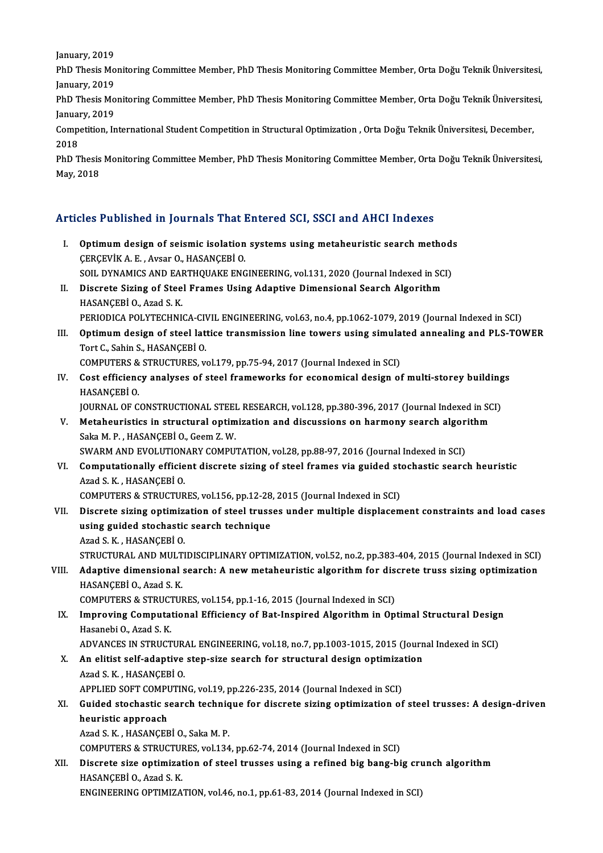January, 2019<br>January, 2019<br>PhD Thesis Me

PhD Thesis Monitoring Committee Member, PhD Thesis Monitoring Committee Member, Orta Doğu Teknik Üniversitesi,<br>January, 2019 January, 2019<br>PhD Thesis Mo<br>January, 2019<br>PhD Thesis Mo PhD Thesis Monitoring Committee Member, PhD Thesis Monitoring Committee Member, Orta Doğu Teknik Üniversitesi,<br>January, 2019<br>PhD Thesis Monitoring Committee Member, PhD Thesis Monitoring Committee Member, Orta Doğu Teknik

January, 2019<br>PhD Thesis Mo<br>January, 2019<br>Competition In PhD Thesis Monitoring Committee Member, PhD Thesis Monitoring Committee Member, Orta Doğu Teknik Üniversite:<br>January, 2019<br>Competition, International Student Competition in Structural Optimization , Orta Doğu Teknik Üniver

January, 2019<br>Competition, Il<br>2018 Competition, International Student Competition in Structural Optimization , Orta Doğu Teknik Üniversitesi, December,<br>PhD Thesis Monitoring Committee Member, PhD Thesis Monitoring Committee Member, Orta Doğu Teknik Üniversi

PhD Thesis Monitoring Committee Member, PhD Thesis Monitoring Committee Member, Orta Doğu Teknik Üniversitesi,

# мау, 2018<br>Articles Published in Journals That Entered SCI, SSCI and AHCI Indexes

- rticles Published in Journals That Entered SCI, SSCI and AHCI Indexes<br>I. Optimum design of seismic isolation systems using metaheuristic search methods<br>CERCEVIV A.E. AVGOR O.HASANCERLO I. Optimum design of seismic isolation systems using metaheuristic search methods CERCEVIK A.E., Avsar O., HASANCEBIO. SOIL DYNAMICS AND EARTHQUAKE ENGINEERING, vol.131, 2020 (Journal Indexed in SCI) CERCEVIK A. E. , Avsar O., HASANCEBI O.<br>SOIL DYNAMICS AND EARTHQUAKE ENGINEERING, vol.131, 2020 (Journal Indexed in SC<br>II. Discrete Sizing of Steel Frames Using Adaptive Dimensional Search Algorithm<br>HASANCEPLO, Area S. K.
- SOIL DYNAMICS AND EAR<br>Discrete Sizing of Stee<br>HASANÇEBİ O., Azad S. K.<br>PERIODICA POLYTECHNI HASANÇEBİ O., Azad S. K.<br>PERIODICA POLYTECHNICA-CIVIL ENGINEERING, vol.63, no.4, pp.1062-1079, 2019 (Journal Indexed in SCI)
- HASANÇEBİ O., Azad S. K.<br>PERIODICA POLYTECHNICA-CIVIL ENGINEERING, vol.63, no.4, pp.1062-1079, 2019 (Journal Indexed in SCI)<br>III. Optimum design of steel lattice transmission line towers using simulated annealing and P PERIODICA POLYTECHNICA-CIV<br>Optimum design of steel lat<br>Tort C., Sahin S., HASANÇEBİ O.<br>COMBUTEBS & STBUCTUBES W Optimum design of steel lattice transmission line towers using simula<br>Tort C., Sahin S., HASANÇEBİ O.<br>COMPUTERS & STRUCTURES, vol.179, pp.75-94, 2017 (Journal Indexed in SCI)<br>Cost officionau analyses of steel frameworks fo

Tort C., Sahin S., HASANÇEBİ O.<br>COMPUTERS & STRUCTURES, vol.179, pp.75-94, 2017 (Journal Indexed in SCI)<br>IV. Cost efficiency analyses of steel frameworks for economical design of multi-storey buildings<br>HASANCERÍ O. COMPUTERS &<br>Cost efficienc<br>HASANÇEBİ O.<br>JOUPNAL OE C Cost efficiency analyses of steel frameworks for economical design of multi-storey building<br>HASANÇEBİ O.<br>JOURNAL OF CONSTRUCTIONAL STEEL RESEARCH, vol.128, pp.380-396, 2017 (Journal Indexed in SCI)<br>Metabouristics in struct

- HASANÇEBİ 0.<br>JOURNAL OF CONSTRUCTIONAL STEEL RESEARCH, vol.128, pp.380-396, 2017 (Journal Indexed in SC<br>V. Metaheuristics in structural optimization and discussions on harmony search algorithm<br>Saka N. B., HASANCERÍ Q. Ceem Saka M. P. , HASANÇEBİ O., Geem Z. W.<br>SWARM AND EVOLUTIONARY COMPUTATION, vol.28, pp.88-97, 2016 (Journal Indexed in SCI) V. Metaheuristics in structural optimization and discussions on harmony search algorithm
- Saka M. P. , HASANÇEBİ O., Geem Z. W.<br>SWARM AND EVOLUTIONARY COMPUTATION, vol.28, pp.88-97, 2016 (Journal Indexed in SCI)<br>VI. Computationally efficient discrete sizing of steel frames via guided stochastic search heuristic Azad S.K. ,HASANÇEBİO. Computationally efficient discrete sizing of steel frames via guided sto<br>Azad S. K., HASANÇEBİ O.<br>COMPUTERS & STRUCTURES, vol.156, pp.12-28, 2015 (Journal Indexed in SCI)<br>Discrete siring ontimization of steel tweese under

Azad S. K., HASANÇEBİ 0.<br>COMPUTERS & STRUCTURES, vol.156, pp.12-28, 2015 (Journal Indexed in SCI)<br>VII. Discrete sizing optimization of steel trusses under multiple displacement constraints and load cases<br>veing quided s COMPUTERS & STRUCTURES, vol.156, pp.12-28, 2015 (Journal Indexed in SCI)<br>Discrete sizing optimization of steel trusses under multiple displacen<br>using guided stochastic search technique<br>Azad S. K., HASANCEBI 0. Discrete sizing optimize<br>using guided stochastic<br>Azad S.K., HASANÇEBİO.<br>STRUCTURAL AND MULTI using guided stochastic search technique<br>Azad S. K. , HASANÇEBİ O.<br>STRUCTURAL AND MULTIDISCIPLINARY OPTIMIZATION, vol.52, no.2, pp.383-404, 2015 (Journal Indexed in SCI)<br>Adaptive dimensional search: A new metabouristic als Azad S. K., HASANÇEBİ O.<br>STRUCTURAL AND MULTIDISCIPLINARY OPTIMIZATION, vol.52, no.2, pp.383-404, 2015 (Journal Indexed in SCI)<br>VIII. Adaptive dimensional search: A new metaheuristic algorithm for discrete truss sizing opt

## STRUCTURAL AND MULT<br>Adaptive dimensional<br>HASANÇEBİ 0., Azad S.K.<br>COMPUTEDS 8. STRUCTUL Adaptive dimensional search: A new metaheuristic algorithm for dis<br>HASANÇEBİ O., Azad S. K.<br>COMPUTERS & STRUCTURES, vol.154, pp.1-16, 2015 (Journal Indexed in SCI)<br>Improving Computational Efficionau of Pat Inspired Algorit HASANÇEBİ O., Azad S. K.<br>COMPUTERS & STRUCTURES, vol.154, pp.1-16, 2015 (Journal Indexed in SCI)<br>IX. Improving Computational Efficiency of Bat-Inspired Algorithm in Optimal Structural Design<br>Hesenchi O. Azad S. K

COMPUTERS & STRUCT<br>I<mark>mproving Computa</mark><br>Hasanebi O., Azad S. K.<br>ADVANCES IN STRUCT Improving Computational Efficiency of Bat-Inspired Algorithm in Optimal Structural Design<br>Hasanebi O., Azad S. K.<br>ADVANCES IN STRUCTURAL ENGINEERING, vol.18, no.7, pp.1003-1015, 2015 (Journal Indexed in SCI)<br>An elitiet sel ADVANCES IN STRUCTURAL ENGINEERING, vol.18, no.7, pp.1003-1015, 2015 (Journal Indexed in SCI)

- Hasanebi O., Azad S. K.<br>ADVANCES IN STRUCTURAL ENGINEERING, vol.18, no.7, pp.1003-1015, 2015 (Journ<br>X. An elitist self-adaptive step-size search for structural design optimization<br>Azad S. K. . HASANCEBI O. APPLIED SOFT COMPUTING, vol.19, pp.226-235, 2014 (Journal Indexed in SCI)
- Azad S. K., HASANÇEBİ O.<br>APPLIED SOFT COMPUTING, vol.19, pp.226-235, 2014 (Journal Indexed in SCI)<br>XI. Guided stochastic search technique for discrete sizing optimization of steel trusses: A design-driven<br>houristic approac APPLIED SOFT COMPI<br>Guided stochastic s<br>heuristic approach<br>Aged S.K., HASANCEE Guided stochastic search techniq<br>heuristic approach<br>Azad S. K. , HASANÇEBİ O., Saka M. P.<br>COMBUTEDS & STRUCTURES vol 134 heuristic approach<br>Azad S. K. , HASANÇEBİ O., Saka M. P.<br>COMPUTERS & STRUCTURES, vol.134, pp.62-74, 2014 (Journal Indexed in SCI)<br>Disanata eire entimization of steel trusses using a refined bir bang bi

Azad S. K., HASANÇEBİ 0., Saka M. P.<br>COMPUTERS & STRUCTURES, vol.134, pp.62-74, 2014 (Journal Indexed in SCI)<br>XII. Discrete size optimization of steel trusses using a refined big bang-big crunch algorithm<br>HASANCERÍ O. Azad COMPUTERS & STRUCTUE<br>Discrete size optimizat<br>HASANÇEBİ O., Azad S. K.<br>ENCINEEPINC OPTIMIZA Discrete size optimization of steel trusses using a refined big bang-big cru<br>HASANÇEBİ O., Azad S. K.<br>ENGINEERING OPTIMIZATION, vol.46, no.1, pp.61-83, 2014 (Journal Indexed in SCI)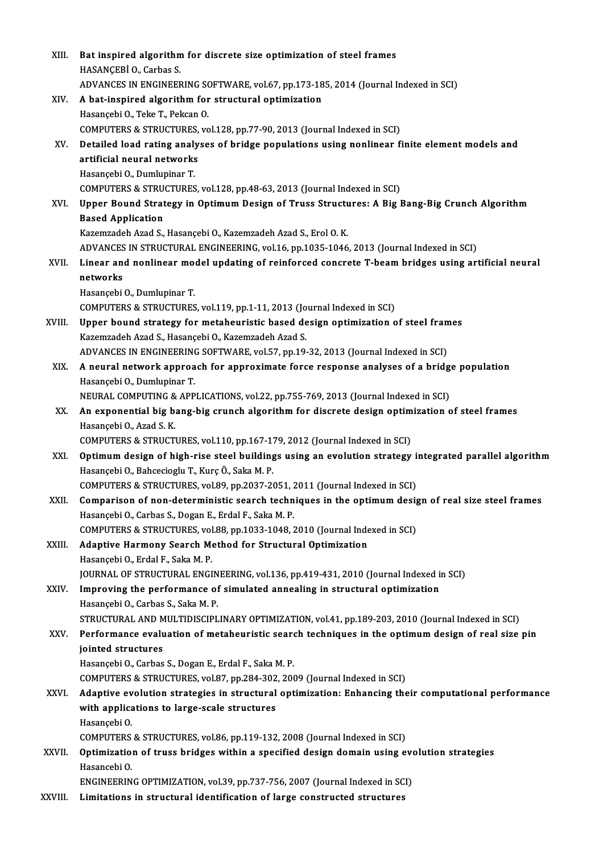| XIII.   | Bat inspired algorithm for discrete size optimization of steel frames                                                                                                                                |
|---------|------------------------------------------------------------------------------------------------------------------------------------------------------------------------------------------------------|
|         | HASANÇEBİ O., Carbas S.                                                                                                                                                                              |
|         | ADVANCES IN ENGINEERING SOFTWARE, vol.67, pp.173-185, 2014 (Journal Indexed in SCI)                                                                                                                  |
| XIV.    | A bat-inspired algorithm for structural optimization                                                                                                                                                 |
|         | Hasançebi O., Teke T., Pekcan O.                                                                                                                                                                     |
|         | COMPUTERS & STRUCTURES, vol.128, pp.77-90, 2013 (Journal Indexed in SCI)                                                                                                                             |
| XV.     | Detailed load rating analyses of bridge populations using nonlinear finite element models and                                                                                                        |
|         | artificial neural networks                                                                                                                                                                           |
|         | Hasançebi O, Dumlupinar T.                                                                                                                                                                           |
|         | COMPUTERS & STRUCTURES, vol.128, pp.48-63, 2013 (Journal Indexed in SCI)                                                                                                                             |
| XVI.    | Upper Bound Strategy in Optimum Design of Truss Structures: A Big Bang-Big Crunch Algorithm                                                                                                          |
|         | <b>Based Application</b>                                                                                                                                                                             |
|         | Kazemzadeh Azad S., Hasançebi O., Kazemzadeh Azad S., Erol O. K.                                                                                                                                     |
|         | ADVANCES IN STRUCTURAL ENGINEERING, vol.16, pp.1035-1046, 2013 (Journal Indexed in SCI)                                                                                                              |
| XVII.   | Linear and nonlinear model updating of reinforced concrete T-beam bridges using artificial neural                                                                                                    |
|         | networks                                                                                                                                                                                             |
|         | Hasançebi O, Dumlupinar T.                                                                                                                                                                           |
|         | COMPUTERS & STRUCTURES, vol.119, pp.1-11, 2013 (Journal Indexed in SCI)                                                                                                                              |
| XVIII.  | Upper bound strategy for metaheuristic based design optimization of steel frames                                                                                                                     |
|         | Kazemzadeh Azad S., Hasançebi O., Kazemzadeh Azad S.                                                                                                                                                 |
|         | ADVANCES IN ENGINEERING SOFTWARE, vol.57, pp.19-32, 2013 (Journal Indexed in SCI)                                                                                                                    |
| XIX.    | A neural network approach for approximate force response analyses of a bridge population                                                                                                             |
|         | Hasançebi O., Dumlupinar T.                                                                                                                                                                          |
|         | NEURAL COMPUTING & APPLICATIONS, vol.22, pp.755-769, 2013 (Journal Indexed in SCI)                                                                                                                   |
| XX.     | An exponential big bang-big crunch algorithm for discrete design optimization of steel frames                                                                                                        |
|         | Hasançebi O, Azad S K                                                                                                                                                                                |
|         | COMPUTERS & STRUCTURES, vol.110, pp.167-179, 2012 (Journal Indexed in SCI)                                                                                                                           |
| XXI.    | Optimum design of high-rise steel buildings using an evolution strategy integrated parallel algorithm                                                                                                |
|         | Hasançebi O., Bahcecioglu T., Kurç Ö., Saka M. P.                                                                                                                                                    |
|         | COMPUTERS & STRUCTURES, vol.89, pp.2037-2051, 2011 (Journal Indexed in SCI)                                                                                                                          |
| XXII.   | Comparison of non-deterministic search techniques in the optimum design of real size steel frames                                                                                                    |
|         | Hasançebi O., Carbas S., Dogan E., Erdal F., Saka M. P.                                                                                                                                              |
|         | COMPUTERS & STRUCTURES, vol.88, pp.1033-1048, 2010 (Journal Indexed in SCI)                                                                                                                          |
| XXIII.  | Adaptive Harmony Search Method for Structural Optimization                                                                                                                                           |
|         | Hasançebi O., Erdal F., Saka M. P.                                                                                                                                                                   |
|         | JOURNAL OF STRUCTURAL ENGINEERING, vol.136, pp.419-431, 2010 (Journal Indexed in SCI)                                                                                                                |
| XXIV.   | Improving the performance of simulated annealing in structural optimization                                                                                                                          |
|         | Hasançebi O., Carbas S., Saka M. P.                                                                                                                                                                  |
| XXV.    | STRUCTURAL AND MULTIDISCIPLINARY OPTIMIZATION, vol.41, pp.189-203, 2010 (Journal Indexed in SCI)<br>Performance evaluation of metaheuristic search techniques in the optimum design of real size pin |
|         | jointed structures                                                                                                                                                                                   |
|         | Hasançebi O., Carbas S., Dogan E., Erdal F., Saka M. P.                                                                                                                                              |
|         | COMPUTERS & STRUCTURES, vol.87, pp.284-302, 2009 (Journal Indexed in SCI)                                                                                                                            |
| XXVI.   | Adaptive evolution strategies in structural optimization: Enhancing their computational performance                                                                                                  |
|         | with applications to large-scale structures                                                                                                                                                          |
|         | Hasançebi O                                                                                                                                                                                          |
|         | COMPUTERS & STRUCTURES, vol.86, pp.119-132, 2008 (Journal Indexed in SCI)                                                                                                                            |
| XXVII.  | Optimization of truss bridges within a specified design domain using evolution strategies                                                                                                            |
|         | Hasancebi O.                                                                                                                                                                                         |
|         | ENGINEERING OPTIMIZATION, vol.39, pp.737-756, 2007 (Journal Indexed in SCI)                                                                                                                          |
| XXVIII. | Limitations in structural identification of large constructed structures                                                                                                                             |
|         |                                                                                                                                                                                                      |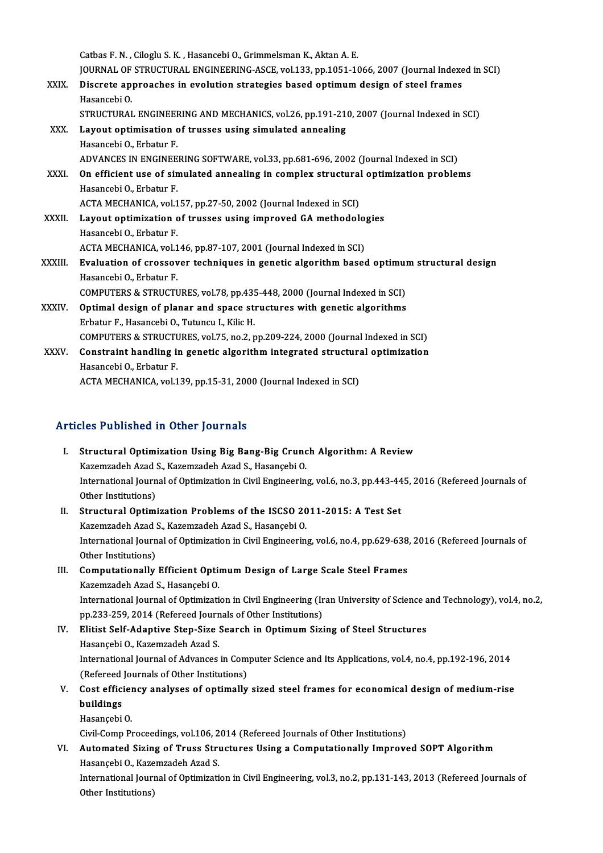Catbas F.N., Ciloglu S.K., Hasancebi O., Grimmelsman K., Aktan A.E. Catbas F. N. , Ciloglu S. K. , Hasancebi O., Grimmelsman K., Aktan A. E.<br>JOURNAL OF STRUCTURAL ENGINEERING-ASCE, vol.133, pp.1051-1066, 2007 (Journal Indexed in SCI)<br>Disanate annuasabas in suolution strategies based ontimu Catbas F. N. , Ciloglu S. K. , Hasancebi O., Grimmelsman K., Aktan A. E.<br>JOURNAL OF STRUCTURAL ENGINEERING-ASCE, vol.133, pp.1051-1066, 2007 (Journal Indexe<br>XXIX. Discrete approaches in evolution strategies based optimum d

- **JOURNAL OF<br>Discrete ap<br>Hasancebi O.<br>STRUCTURAL** Discrete approaches in evolution strategies based optimum design of steel frames<br>Hasancebi O.<br>STRUCTURAL ENGINEERING AND MECHANICS, vol.26, pp.191-210, 2007 (Journal Indexed in SCI)<br>Lavout optimisation of trusses using sim
- Hasancebi O.<br>STRUCTURAL ENGINEERING AND MECHANICS, vol.26, pp.191-21<br>XXX. Layout optimisation of trusses using simulated annealing<br>Hasancebi O., Erbatur F. STRUCTURAL ENGINEER<br>Layout optimisation<br>Hasancebi O., Erbatur F.<br>ADVANCES IN ENGINEE ADVANCES IN ENGINEERING SOFTWARE, vol.33, pp.681-696, 2002 (Journal Indexed in SCI) Hasancebi O., Erbatur F.<br>ADVANCES IN ENGINEERING SOFTWARE, vol.33, pp.681-696, 2002 (Journal Indexed in SCI)<br>XXXI. On efficient use of simulated annealing in complex structural optimization problems<br>Hasancebi O. Erbatur E ADVANCES IN ENGINEE<br>**On efficient use of sin<br>Hasancebi O., Erbatur F.**<br>ACTA MECHANICA vol 1 On efficient use of simulated annealing in complex structural<br>Hasancebi O., Erbatur F.<br>ACTA MECHANICA, vol.157, pp.27-50, 2002 (Journal Indexed in SCI)<br>Lavout ontimization of trusses using improved CA methodols Hasancebi O., Erbatur F.<br>ACTA MECHANICA, vol.157, pp.27-50, 2002 (Journal Indexed in SCI)<br>XXXII. Layout optimization of trusses using improved GA methodologies<br>Hasancebi O., Erbatur F. ACTA MECHANICA, vol.157, pp.27-50, 2002 (Journal Indexed in SCI) Layout optimization of trusses using improved GA methodolog<br>Hasancebi O., Erbatur F.<br>ACTA MECHANICA, vol.146, pp.87-107, 2001 (Journal Indexed in SCI)<br>Evoluction of spessever techniques in senstis alsonithm bases Hasancebi O., Erbatur F.<br>ACTA MECHANICA, vol.146, pp.87-107, 2001 (Journal Indexed in SCI)<br>XXXIII. Evaluation of crossover techniques in genetic algorithm based optimum structural design<br>Hasancebi O. Erbatur F ACTA MECHANICA, vol.1<br><mark>Evaluation of crossov</mark><br>Hasancebi O., Erbatur F.<br>COMBUTEDS & STBUCTI Evaluation of crossover techniques in genetic algorithm based optimul<br>Hasancebi O., Erbatur F.<br>COMPUTERS & STRUCTURES, vol.78, pp.435-448, 2000 (Journal Indexed in SCI)<br>Ontimel degian of planer and space atmatures with sen Hasancebi O., Erbatur F.<br>COMPUTERS & STRUCTURES, vol.78, pp.435-448, 2000 (Journal Indexed in SCI)<br>XXXIV. Optimal design of planar and space structures with genetic algorithms<br>Exhatur E. Hasansabi O. Tutungu L. Vilia H COMPUTERS & STRUCTURES, vol.78, pp.435<br>Optimal design of planar and space street<br>Erbatur F., Hasancebi O., Tutuncu I., Kilic H.<br>COMPUTERS & STRUCTURES vol.75, pp.2, r Optimal design of planar and space structures with genetic algorithms<br>Erbatur F., Hasancebi O., Tutuncu I., Kilic H.<br>COMPUTERS & STRUCTURES, vol.75, no.2, pp.209-224, 2000 (Journal Indexed in SCI)<br>Constraint bandling in ge
- Erbatur F., Hasancebi O., Tutuncu I., Kilic H.<br>COMPUTERS & STRUCTURES, vol.75, no.2, pp.209-224, 2000 (Journal Indexed in SCI)<br>XXXV. Constraint handling in genetic algorithm integrated structural optimization<br>Hasancebi O., COMPUTERS & STRUCTURE<br>**Constraint handling i**n<br>Hasancebi O., Erbatur F.<br>ACTA MECHANICA vol 1

ACTA MECHANICA, vol.139, pp.15-31, 2000 (Journal Indexed in SCI)

## Articles Published in Other Journals

- I. Structural Optimization Using Big Bang-Big Crunch Algorithm: A Review Kazemzadeh Azad S., Kazemzadeh Azad S., Hasançebi O. Structural Optimization Using Big Bang-Big Crunch Algorithm: A Review<br>Kazemzadeh Azad S., Kazemzadeh Azad S., Hasançebi O.<br>International Journal of Optimization in Civil Engineering, vol.6, no.3, pp.443-445, 2016 (Refereed Kazemzadeh Azad !<br>International Journ<br>Other Institutions)<br>Structurel Ontimi International Journal of Optimization in Civil Engineering, vol.6, no.3, pp.443-44<br>Other Institutions)<br>II. Structural Optimization Problems of the ISCSO 2011-2015: A Test Set<br>Karamuadab Area S. Karamuadab Area S. Hasanashi Other Institutions)<br>II. Structural Optimization Problems of the ISCSO 2011-2015: A Test Set
- International Journal of Optimization in Civil Engineering, vol.6, no.4, pp.629-638, 2016 (Refereed Journals of<br>Other Institutions) Kazemzadeh Azad S., Kazemzadeh Azad S., Hasançebi O. International Journal of Optimization in Civil Engineering, vol.6, no.4, pp.629-638<br>Other Institutions)<br>III. Computationally Efficient Optimum Design of Large Scale Steel Frames<br>Karomradeb Arad S. Hasancebi O.
- Other Institutions)<br>Computationally Efficient Optin<br>Kazemzadeh Azad S., Hasançebi O.<br>International Journal of Optimizati Kazemzadeh Azad S., Hasançebi O.<br>International Journal of Optimization in Civil Engineering (Iran University of Science and Technology), vol.4, no.2, Kazemzadeh Azad S., Hasançebi O.<br>International Journal of Optimization in Civil Engineering (Ir<br>pp.233-259, 2014 (Refereed Journals of Other Institutions)<br>Flitist Self Adantive Stan Sige Search in Ontimum Sigi
- IV. Elitist Self-Adaptive Step-Size Search in Optimum Sizing of Steel Structures<br>Hasançebi O., Kazemzadeh Azad S. pp.233-259, 2014 (Refereed Journ<br>Elitist Self-Adaptive Step-Size :<br>Hasançebi O., Kazemzadeh Azad S.<br>International Journal of Advances Elitist Self-Adaptive Step-Size Search in Optimum Sizing of Steel Structures<br>Hasançebi O., Kazemzadeh Azad S.<br>International Journal of Advances in Computer Science and Its Applications, vol.4, no.4, pp.192-196, 2014<br>(Befor Hasançebi O., Kazemzadeh Azad S.<br>International Journal of Advances in Com<br>(Refereed Journals of Other Institutions) International Journal of Advances in Computer Science and Its Applications, vol.4, no.4, pp.192-196, 2014<br>(Refereed Journals of Other Institutions)<br>V. Cost efficiency analyses of optimally sized steel frames for economical
- (Refereed)<br>Cost effici<br>buildings Cost efficie<mark>l</mark><br>buildings<br>Hasançebi O.<br>Giril Comp Pr buildings<br>Hasançebi O.<br>Civil-Comp Proceedings, vol.106, 2014 (Refereed Journals of Other Institutions)<br>Automated Siring of Trues Structures Heing e Computationally Improve

Hasançebi O.<br>Civil-Comp Proceedings, vol.106, 2014 (Refereed Journals of Other Institutions)<br>VI. Automated Sizing of Truss Structures Using a Computationally Improved SOPT Algorithm<br>Hasancebi O., Kazemzadeh Azad S. Civil-Comp Proceedings, vol.106, 2<br>Automated Sizing of Truss Stri<br>Hasançebi O., Kazemzadeh Azad S.<br>International Journal of Ontimizati Automated Sizing of Truss Structures Using a Computationally Improved SOPT Algorithm<br>Hasançebi O., Kazemzadeh Azad S.<br>International Journal of Optimization in Civil Engineering, vol.3, no.2, pp.131-143, 2013 (Refereed Jour

Hasançebi O., Kaze<br>International Jourr<br>Other Institutions)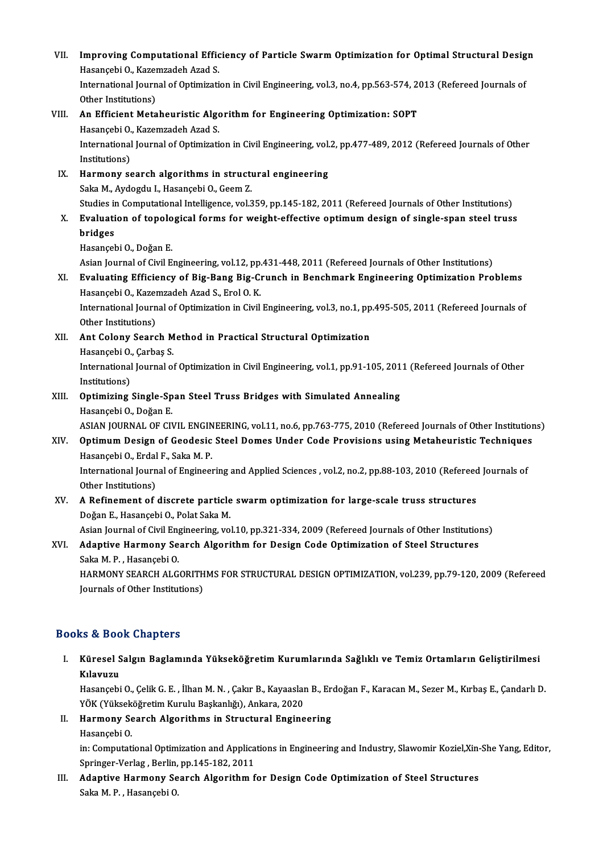VII. Improving Computational Efficiency of Particle Swarm Optimization for Optimal Structural Design<br>Hesensebi Q Karamradab Ared S Improving Computational Effic<br>Hasançebi O., Kazemzadeh Azad S.<br>International Journal of Ontimizati Improving Computational Efficiency of Particle Swarm Optimization for Optimal Structural Desig<br>Hasançebi O., Kazemzadeh Azad S.<br>International Journal of Optimization in Civil Engineering, vol.3, no.4, pp.563-574, 2013 (Ref Hasançebi O., Kazemzadeh Azad S.<br>International Journal of Optimization in Civil Engineering, vol.3, no.4, pp.563-574, 2013 (Refereed Journals of<br>Other Institutions) International Journal of Optimization in Civil Engineering, vol.3, no.4, pp.563-574, 2<br>Other Institutions)<br>VIII. An Efficient Metaheuristic Algorithm for Engineering Optimization: SOPT<br>Hasanschi O. Karomradeb Agad S Other Institutions)<br>An Efficient Metaheuristic Algo<br>Hasançebi O., Kazemzadeh Azad S.<br>International Journal of Ontimizati An Efficient Metaheuristic Algorithm for Engineering Optimization: SOPT<br>Hasançebi O., Kazemzadeh Azad S.<br>International Journal of Optimization in Civil Engineering, vol.2, pp.477-489, 2012 (Refereed Journals of Other<br>Insti Hasançebi O.<br>International<br>Institutions)<br>Harmony co International Journal of Optimization in Civil Engineering, vol.<br>Institutions)<br>IX. Harmony search algorithms in structural engineering<br>Saka M. Aydordu L. Hasansabi O. Coom 7. Institutions)<br>Harmony search algorithms in structi<br>Saka M., Aydogdu I., Hasançebi O., Geem Z.<br>Studies in Computational Intelligence, vol 3 Harmony search algorithms in structural engineering<br>Saka M., Aydogdu I., Hasançebi O., Geem Z.<br>Studies in Computational Intelligence, vol.359, pp.145-182, 2011 (Refereed Journals of Other Institutions)<br>Evoluation of tanolo Saka M., Aydogdu I., Hasançebi O., Geem Z.<br>Studies in Computational Intelligence, vol.359, pp.145-182, 2011 (Refereed Journals of Other Institutions)<br>X. Evaluation of topological forms for weight-effective optimum design o Studies i<mark><br>Evaluati</mark><br>bridges Hasançebi O., Doğan E. bridges<br>Hasançebi O., Doğan E.<br>Asian Journal of Civil Engineering, vol.12, pp.431-448, 2011 (Refereed Journals of Other Institutions)<br>Fyolusting Efficioney of Big Bong Big Crunch in Bonchmark Engineering Ontimination Bro XI. Evaluating Efficiency of Big-Bang Big-Crunch in Benchmark Engineering Optimization Problems Asian Journal of Civil Engineering, vol.12, pp.<br>**Evaluating Efficiency of Big-Bang Big-C**:<br>Hasançebi O., Kazemzadeh Azad S., Erol O. K.<br>International Journal of Ontimization in Civil International Journal of Optimization in Civil Engineering, vol.3, no.1, pp.495-505, 2011 (Refereed Journals of Other Institutions) Hasançebi O., Kazemzadeh Azad S., Erol O. K. International Journal of Optimization in Civil Engineering, vol.3, no.1, pp<br>Other Institutions)<br>XII. Ant Colony Search Method in Practical Structural Optimization<br>Hesprechi O. Corbes S Other Institutions)<br>Ant Colony Search M<br>Hasançebi O., Çarbaş S.<br>International Iournal o Ant Colony Search Method in Practical Structural Optimization<br>Hasançebi O., Çarbaş S.<br>International Journal of Optimization in Civil Engineering, vol.1, pp.91-105, 2011 (Refereed Journals of Other<br>Institutions) Hasançebi O.<br>International<br>Institutions) International Journal of Optimization in Civil Engineering, vol.1, pp.91-105, 201<br>Institutions)<br>XIII. Optimizing Single-Span Steel Truss Bridges with Simulated Annealing<br>Hasansebi O. Dožan F Institutions)<br>**Optimizing Single-Sp<br>Hasançebi O., Doğan E.**<br>ASIAN JOUPNAL OF CN Optimizing Single-Span Steel Truss Bridges with Simulated Annealing<br>Hasançebi O., Doğan E.<br>ASIAN JOURNAL OF CIVIL ENGINEERING, vol.11, no.6, pp.763-775, 2010 (Refereed Journals of Other Institutions)<br>Ontimum Dosian of Cood Hasançebi O., Doğan E.<br>ASIAN JOURNAL OF CIVIL ENGINEERING, vol.11, no.6, pp.763-775, 2010 (Refereed Journals of Other Institution<br>XIV. Optimum Design of Geodesic Steel Domes Under Code Provisions using Metaheuristic Techni ASIAN JOURNAL OF CIVIL ENGIN<br><mark>Optimum Design of Geodesic</mark><br>Hasançebi O., Erdal F., Saka M. P.<br>International Journal of Engineer Optimum Design of Geodesic Steel Domes Under Code Provisions using Metaheuristic Technique:<br>Hasançebi O., Erdal F., Saka M. P.<br>International Journal of Engineering and Applied Sciences , vol.2, no.2, pp.88-103, 2010 (Refer Hasançebi O., Erdal<br>International Journ<br>Other Institutions)<br>A Befinement of International Journal of Engineering and Applied Sciences , vol.2, no.2, pp.88-103, 2010 (Refereed<br>Other Institutions)<br>XV. A Refinement of discrete particle swarm optimization for large-scale truss structures<br>Dečan E Hesen Other Institutions)<br>XV. A Refinement of discrete particle swarm optimization for large-scale truss structures<br>Doǧan E., Hasançebi O., Polat Saka M. A Refinement of discrete particle swarm optimization for large-scale truss structures<br>Doğan E., Hasançebi O., Polat Saka M.<br>Asian Journal of Civil Engineering, vol.10, pp.321-334, 2009 (Refereed Journals of Other Instituti Doğan E., Hasançebi O., Polat Saka M.<br>Asian Journal of Civil Engineering, vol.10, pp.321-334, 2009 (Refereed Journals of Other Institution<br>XVI. Adaptive Harmony Search Algorithm for Design Code Optimization of Steel Struct Asian Journal of Civil Eng<br><mark>Adaptive Harmony Se</mark><br>Saka M. P. , Hasançebi O.<br>HAPMONY SEAPCH ALC Adaptive Harmony Search Algorithm for Design Code Optimization of Steel Structures<br>Saka M. P. , Hasançebi O.<br>HARMONY SEARCH ALGORITHMS FOR STRUCTURAL DESIGN OPTIMIZATION, vol.239, pp.79-120, 2009 (Refereed<br>Journals of Othe Saka M. P. , Hasançebi O.<br>HARMONY SEARCH ALGORITH<br>Journals of Other Institutions) Journals of Other Institutions)<br>Books & Book Chapters

ooks & Book Chapters<br>I. Küresel Salgın Baglamında Yükseköğretim Kurumlarında Sağlıklı ve Temiz Ortamların Geliştirilmesi<br>Kılamızı ks & Boe<br>Küresel S<br>Kılavuzu Küresel Salgın Baglamında Yükseköğretim Kurumlarında Sağlıklı ve Temiz Ortamların Geliştirilmesi<br>Kılavuzu<br>Hasançebi O., Çelik G. E. , İlhan M. N. , Çakır B., Kayaaslan B., Erdoğan F., Karacan M., Sezer M., Kırbaş E., Çanda

Kıl<mark>avuzu</mark><br>Hasançebi O., Çelik G. E. , İlhan M. N. , Çakır B., Kayaaslar<br>YÖK (Yükseköğretim Kurulu Başkanlığı), Ankara, 2020<br>Harmany Searsh Alsonithme in Strustural Engine Hasançebi O., Çelik G. E. , İlhan M. N. , Çakır B., Kayaaslan B., Er<br>YÖK (Yükseköğretim Kurulu Başkanlığı), Ankara, 2020<br>II. Harmony Search Algorithms in Structural Engineering<br>Hasançebi O.

YÖK (Yükseköğretim Kurulu Başkanlığı), Ankara, 2020<br>II. Harmony Search Algorithms in Structural Engineering<br>Hasancebi O.

Harmony Search Algorithms in Structural Engineering<br>Hasançebi O.<br>in: Computational Optimization and Applications in Engineering and Industry, Slawomir Koziel,Xin-She Yang, Editor,<br>Springer Verleg, Berlin pp.145,192,2011 Hasançebi O.<br>in: Computational Optimization and Applica<br>Springer-Verlag , Berlin, pp.145-182, 2011<br>Adontive Harmony Searsh Alsonithm f Springer-Verlag, Berlin, pp 145-182, 2011

III. Adaptive Harmony Search Algorithm for Design Code Optimization of Steel Structures<br>Saka M. P., Hasançebi O.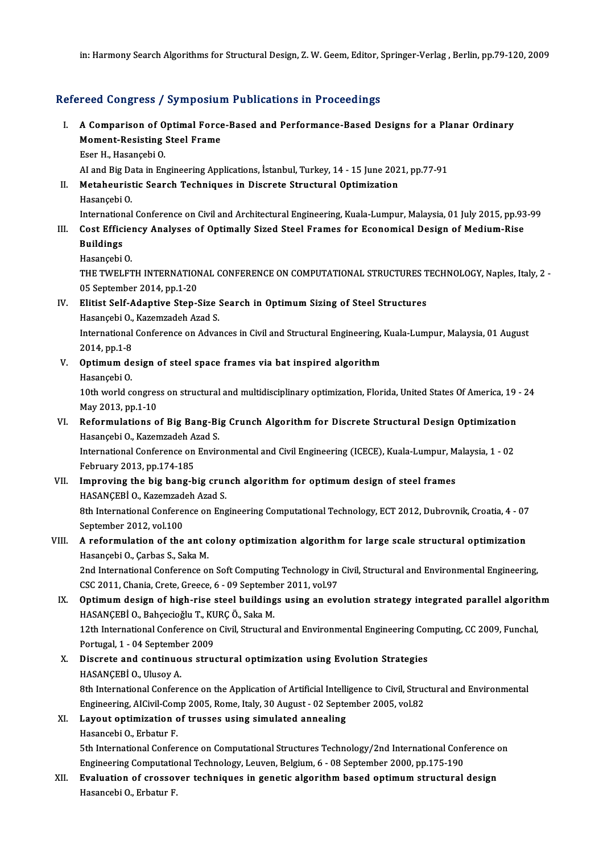in: Harmony Search Algorithms for Structural Design, Z. W. Geem, Editor, Springer-Verlag , Berlin, pp.79-120, 2009

## Refereed Congress / Symposium Publications in Proceedings

- efereed Congress / Symposium Publications in Proceedings<br>I. A Comparison of Optimal Force-Based and Performance-Based Designs for a Planar Ordinary<br>Moment Pesisting Steel Frame A Comparison of Optimal Force<br>Moment-Resisting Steel Frame<br>Eser H, Hasanschi O A Comparison of O<br>Moment-Resisting<br>Eser H., Hasançebi O.<br>Al and Big Data in En Moment-Resisting Steel Frame<br>Eser H., Hasançebi O.<br>AI and Big Data in Engineering Applications, İstanbul, Turkey, 14 - 15 June 2021, pp.77-91<br>Metahouristis Search Techniques in Disercte Structural Ontimization Eser H., Hasançebi O.<br>AI and Big Data in Engineering Applications, İstanbul, Turkey, 14 - 15 June 202<br>II. Metaheuristic Search Techniques in Discrete Structural Optimization<br>Hasansebi O. AI and Big Da<br>Metaheurist<br>Hasançebi O.<br>International Metaheuristic Search Techniques in Discrete Structural Optimization<br>Hasançebi O.<br>International Conference on Civil and Architectural Engineering, Kuala-Lumpur, Malaysia, 01 July 2015, pp.93-99<br>Cost Efficiensy Analyses of O Hasançebi O.<br>International Conference on Civil and Architectural Engineering, Kuala-Lumpur, Malaysia, 01 July 2015, pp.93<br>III. Cost Efficiency Analyses of Optimally Sized Steel Frames for Economical Design of Medium-Ri Internation<br>Cost Effici<br>Buildings<br>Hasansabi III. Cost Efficiency Analyses of Optimally Sized Steel Frames for Economical Design of Medium-Rise<br>Buildings<br>Hasançebi O. Buildings<br>Hasançebi O.<br>THE TWELFTH INTERNATIONAL CONFERENCE ON COMPUTATIONAL STRUCTURES TECHNOLOGY, Naples, Italy, 2 -<br>05 Sontamber 2014, pp.1.20 Hasançebi O.<br>THE TWELFTH INTERNATION<br>05 September 2014, pp.1-20<br>Elitist Self Adentive Sten ( THE TWELFTH INTERNATIONAL CONFERENCE ON COMPUTATIONAL STRUCTURES T<br>05 September 2014, pp.1-20<br>IV. Elitist Self-Adaptive Step-Size Search in Optimum Sizing of Steel Structures<br>Hesengebi O. Karamgadah Arad S. 05 September 2014, pp.1-20<br>Elitist Self-Adaptive Step-Size :<br>Hasançebi O., Kazemzadeh Azad S.<br>International Conference on Adver Elitist Self-Adaptive Step-Size Search in Optimum Sizing of Steel Structures<br>Hasançebi O., Kazemzadeh Azad S.<br>International Conference on Advances in Civil and Structural Engineering, Kuala-Lumpur, Malaysia, 01 August<br>2014 Hasançebi O.,<br>International<br>2014, pp.1-8<br>Ontimum de International Conference on Advances in Civil and Structural Engineering,<br>2014, pp.1-8<br>V. Optimum design of steel space frames via bat inspired algorithm<br>Hasancebi O. 2014, pp.1-8<br>**Optimum de**<br>Hasançebi O.<br>10th world c 0ptimum design of steel space frames via bat inspired algorithm<br>Hasançebi 0.<br>10th world congress on structural and multidisciplinary optimization, Florida, United States Of America, 19 - 24<br>May 2012 nn 1 10 Hasançebi O.<br>10th world congres<br>May 2013, pp.1-10<br>Beformulations o 10th world congress on structural and multidisciplinary optimization, Florida, United States Of America, 19<br>May 2013, pp.1-10<br>VI. Reformulations of Big Bang-Big Crunch Algorithm for Discrete Structural Design Optimization<br> May 2013, pp.1-10<br>Reformulations of Big Bang-Bi<br>Hasançebi O., Kazemzadeh Azad S.<br>International Conference on Envir Reformulations of Big Bang-Big Crunch Algorithm for Discrete Structural Design Optimization<br>Hasançebi O., Kazemzadeh Azad S.<br>International Conference on Environmental and Civil Engineering (ICECE), Kuala-Lumpur, Malaysia, Hasançebi O., Kazemzadeh Azad S.<br>International Conference on Environmental and Civil Engineering (ICECE), Kuala-Lumpur, Malaysia, 1 - 02<br>February 2013, pp.174-185 International Conference on Environmental and Civil Engineering (ICECE), Kuala-Lumpur, M<br>February 2013, pp.174-185<br>VII. Improving the big bang-big crunch algorithm for optimum design of steel frames<br>HASANCERI O Karamaadab February 2013, pp.174-185<br>Improving the big bang-big crur<br>HASANÇEBİ O., Kazemzadeh Azad S.<br><sup>9th International Conference on Enc</sup> 8th International Conference on Engineering Computational Technology, ECT 2012, Dubrovnik, Croatia, 4 - 07<br>September 2012, vol.100 HASANCEBİ O., Kazemzadeh Azad S. 8th International Conference on Engineering Computational Technology, ECT 2012, Dubrovnik, Croatia, 4 - 07<br>September 2012, vol.100<br>VIII. A reformulation of the ant colony optimization algorithm for large scale structural o September 2012, vol.100<br>A reformulation of the ant c<br>Hasançebi O., Çarbas S., Saka M.<br>2nd International Conference C. A reformulation of the ant colony optimization algorithm for large scale structural optimization<br>Hasançebi O., Çarbas S., Saka M.<br>2nd International Conference on Soft Computing Technology in Civil, Structural and Environme Hasançebi O., Çarbas S., Saka M.<br>2nd International Conference on Soft Computing Technology in<br>CSC 2011, Chania, Crete, Greece, 6 - 09 September 2011, vol.97<br>Ontimum dasign of bish rise stael buildings using an eve 2nd International Conference on Soft Computing Technology in Civil, Structural and Environmental Engineering,<br>CSC 2011, Chania, Crete, Greece, 6 - 09 September 2011, vol.97<br>IX. Optimum design of high-rise steel buildings u CSC 2011, Chania, Crete, Greece, 6 - 09 Septemb<br>Optimum design of high-rise steel building<br>HASANÇEBİ O., Bahçecioğlu T., KURÇ Ö., Saka M.<br>12th International Conference on Civil Structure 12th International Conference on Civil, Structural and Environmental Engineering Computing, CC 2009, Funchal,<br>12th International Conference on Civil, Structural and Environmental Engineering Computing, CC 2009, Funchal,<br>12 HASANÇEBİ O., Bahçecioğlu T., KU<br>12th International Conference on<br>Portugal, 1 - 04 September 2009<br>Disanata and continuous stru 12th International Conference on Civil, Structural and Environmental Engineering Cor<br>Portugal, 1 - 04 September 2009<br>X. Discrete and continuous structural optimization using Evolution Strategies<br>HASANCERIO, Huggy A Portugal, 1 - 04 Septembe<br>Discrete and continuo<br>HASANÇEBİ O., Ulusoy A.<br><sup>9th Intornational Confore</sup> HASANÇEBİ O., Ulusoy A.<br>8th International Conference on the Application of Artificial Intelligence to Civil, Structural and Environmental HASANÇEBİ O., Ulusoy A.<br>8th International Conference on the Application of Artificial Intelligence to Civil, Strud<br>Engineering, AICivil-Comp 2005, Rome, Italy, 30 August - 02 September 2005, vol.82<br>Lavout ontimization of t 8th International Conference on the Application of Artificial Intelli<br>Engineering, AlCivil-Comp 2005, Rome, Italy, 30 August - 02 Septe<br>XI. Layout optimization of trusses using simulated annealing<br>Heconophi O. Explotur E Engineering, AlCivil-Com<br>Layout optimization<br>Hasancebi O., Erbatur F.<br>Eth International Confor Layout optimization of trusses using simulated annealing<br>Hasancebi O., Erbatur F.<br>5th International Conference on Computational Structures Technology/2nd International Conference on<br>Engineering Computational Technology Lau Hasancebi O., Erbatur F.<br>5th International Conference on Computational Structures Technology/2nd International Conf<br>Engineering Computational Technology, Leuven, Belgium, 6 - 08 September 2000, pp.175-190<br>Evaluation of gro 5th International Conference on Computational Structures Technology/2nd International Conference of Engineering Computational Technology, Leuven, Belgium, 6 - 08 September 2000, pp.175-190<br>XII. Evaluation of crossover tech
- Engineering Computatio<br><mark>Evaluation of crosso</mark><br>Hasancebi O., Erbatur F.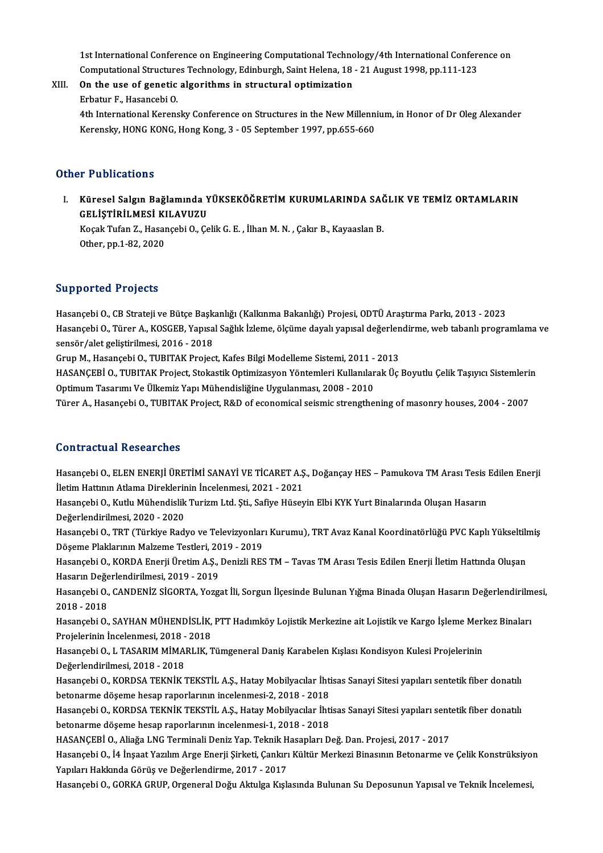1st International Conference on Engineering Computational Technology/4th International Conference on<br>Computational Strugtures Technology, Edinburgh, Saint Helone, 19,, 21 August 1998, np.111, 122 1st International Conference on Engineering Computational Technology/4th International Conferent<br>Computational Structures Technology, Edinburgh, Saint Helena, 18 - 21 August 1998, pp.111-123 1st International Conference on Engineering Computational Techno<br>Computational Structures Technology, Edinburgh, Saint Helena, 18<br>XIII. On the use of genetic algorithms in structural optimization

Computational Structure<br>**On the use of genetic**<br>Erbatur F., Hasancebi O.<br>4th International Kerenc 0n the use of genetic algorithms in structural optimization<br>Erbatur F., Hasancebi O.<br>4th International Kerensky Conference on Structures in the New Millennium, in Honor of Dr Oleg Alexander<br>Kerensky, HONG KONG, Hong Kong,

Erbatur F., Hasancebi O.<br>4th International Kerensky Conference on Structures in the New Millenn<br>Kerensky, HONG KONG, Hong Kong, 3 - 05 September 1997, pp.655-660 Kerensky, HONG KONG, Hong Kong, 3 - 05 September 1997, pp.655-660<br>Other Publications

ther Publications<br>I. Küresel Salgın Bağlamında YÜKSEKÖĞRETİM KURUMLARINDA SAĞLIK VE TEMİZ ORTAMLARIN<br>CELİSTİRİLMESİ KU AVUZU r rushturisme<br>Küresel Salgın Bağlamında Y<br>GELİŞTİRİLMESİ KILAVUZU<br>Kosak Tufan 7, Hasansabi O, Ca GELİŞTİRİLMESİ KILAVUZU

Koçak Tufan Z., Hasançebi O., Çelik G. E. , İlhan M. N. , Çakır B., Kayaaslan B.<br>Other, pp.1-82, 2020

## Supported Projects

Hasançebi O., CB Strateji ve Bütçe Başkanlığı (Kalkınma Bakanlığı) Projesi, ODTÜ Araştırma Parkı, 2013 - 2023 Barp Breden Frejeces<br>Hasançebi O., CB Strateji ve Bütçe Başkanlığı (Kalkınma Bakanlığı) Projesi, ODTÜ Araştırma Parkı, 2013 - 2023<br>Hasançebi O., Türer A., KOSGEB, Yapısal Sağlık İzleme, ölçüme dayalı yapısal değerlendirme, Hasançebi O., CB Strateji ve Bütçe Başk<br>Hasançebi O., Türer A., KOSGEB, Yapısa<br>sensör/alet geliştirilmesi, 2016 - 2018<br>Crup M. Hasançebi O. TUBITAK Projec Hasançebi O., Türer A., KOSGEB, Yapısal Sağlık İzleme, ölçüme dayalı yapısal değerlen<br>sensör/alet geliştirilmesi, 2016 - 2018<br>Grup M., Hasançebi O., TUBITAK Project, Kafes Bilgi Modelleme Sistemi, 2011 - 2013<br>HASANGERİ O., sensör/alet geliştirilmesi, 2016 - 2018<br>Grup M., Hasançebi O., TUBITAK Project, Kafes Bilgi Modelleme Sistemi, 2011 - 2013<br>HASANÇEBİ O., TUBITAK Project, Stokastik Optimizasyon Yöntemleri Kullanılarak Üç Boyutlu Çelik Taşı

Grup M., Hasançebi O., TUBITAK Project, Kafes Bilgi Modelleme Sistemi, 2011 - 2013<br>HASANÇEBİ O., TUBITAK Project, Stokastik Optimizasyon Yöntemleri Kullanılarak Üç Boyutlu Çelik Taşıyıcı Sistemleri<br>Optimum Tasarımı Ve Ülke HASANÇEBİ O., TUBITAK Project, Stokastik Optimizasyon Yöntemleri Kullanılarak Üç Boyutlu Çelik Taşıyıcı Sistemleri<br>Optimum Tasarımı Ve Ülkemiz Yapı Mühendisliğine Uygulanması, 2008 - 2010<br>Türer A., Hasançebi O., TUBITAK Pr

### Contractual Researches

Contractual Researches<br>Hasançebi O., ELEN ENERJİ ÜRETİMİ SANAYİ VE TİCARET A.Ş., Doğançay HES – Pamukova TM Arası Tesis Edilen Enerji<br>İletim Hattının Atlama Direklerinin İnselenmesi, 2021, 2021 UUME UUCUM INUSUM UNUS<br>Hasançebi O., ELEN ENERJİ ÜRETİMİ SANAYİ VE TİCARET A.Ş<br>İletim Hattının Atlama Direklerinin İncelenmesi, 2021 - 2021<br>Hasansabi O. Kutlu Mühandialik Turium Ltd. Sti. Sefiye Hüsey Hasançebi O., ELEN ENERJİ ÜRETİMİ SANAYİ VE TİCARET A.Ş., Doğançay HES – Pamukova TM Arası Tesis l<br>İletim Hattının Atlama Direklerinin İncelenmesi, 2021 - 2021<br>Hasançebi O., Kutlu Mühendislik Turizm Ltd. Şti., Safiye Hüsey İletim Hattının Atlama Direklerinin İncelenmesi, 2021 - 2021<br>Hasançebi O., Kutlu Mühendislik Turizm Ltd. Şti., Safiye Hüseyin Elbi KYK Yurt Binalarında Oluşan Hasarın<br>Değerlendirilmesi. 2020 - 2020 Hasançebi O., TRT (Türkiye Radyo ve Televizyonları Kurumu), TRT Avaz Kanal Koordinatörlüğü PVC Kaplı Yükseltilmiş Döşeme Plaklarının Malzeme Testleri, 2019 - 2019 Hasançebi O., TRT (Türkiye Radyo ve Televizyonları Kurumu), TRT Avaz Kanal Koordinatörlüğü PVC Kaplı Yükseltilm<br>Döşeme Plaklarının Malzeme Testleri, 2019 - 2019<br>Hasançebi O., KORDA Enerji Üretim A.Ş., Denizli RES TM – Tava Döşeme Plaklarının Malzeme Testleri, 20<br>Hasançebi O., KORDA Enerji Üretim A.Ş.,<br>Hasarın Değerlendirilmesi, 2019 - 2019<br>Hasansabi O. CANDENİZ SİCOPTA Nozg Hasançebi O., KORDA Enerji Üretim A.Ş., Denizli RES TM – Tavas TM Arası Tesis Edilen Enerji İletim Hattında Oluşan<br>Hasarın Değerlendirilmesi, 2019 - 2019<br>Hasançebi O., CANDENİZ SİGORTA, Yozgat İli, Sorgun İlçesinde Bulunan Hasarın Değe<br>Hasançebi O.,<br>2018 - 2018<br>Hasansebi O Hasançebi O., CANDENİZ SİGORTA, Yozgat İli, Sorgun İlçesinde Bulunan Yığma Binada Oluşan Hasarın Değerlendirilm<br>2018 - 2018<br>Hasançebi O., SAYHAN MÜHENDİSLİK, PTT Hadımköy Lojistik Merkezine ait Lojistik ve Kargo İşleme Mer 2018 - 2018<br>Hasançebi O., SAYHAN MÜHENDİSLİK,<br>Projelerinin İncelenmesi, 2018 - 2018<br>Hasansabi O. L.TASARIM MİMARLIK, 7 Hasançebi O., SAYHAN MÜHENDİSLİK, PTT Hadımköy Lojistik Merkezine ait Lojistik ve Kargo İşleme Merl<br>Projelerinin İncelenmesi, 2018 - 2018<br>Hasançebi O., L TASARIM MİMARLIK, Tümgeneral Daniş Karabelen Kışlası Kondisyon Kules Projelerinin İncelenmesi, 2018 - 2018<br>Hasançebi O., L TASARIM MİMARLIK, Tümgeneral Daniş Karabelen Kışlası Kondisyon Kulesi Projelerinin<br>Değerlendirilmesi, 2018 - 2018 Hasançebi O., L TASARIM MİMARLIK, Tümgeneral Daniş Karabelen Kışlası Kondisyon Kulesi Projelerinin<br>Değerlendirilmesi, 2018 - 2018<br>Hasançebi O., KORDSA TEKNİK TEKSTİL A.Ş., Hatay Mobilyacılar İhtisas Sanayi Sitesi yapıları Değerlendirilmesi, 2018 - 2018<br>Hasançebi O., KORDSA TEKNİK TEKSTİL A.Ş., Hatay Mobilyacılar İhti<br>betonarme döşeme hesap raporlarının incelenmesi-2, 2018 - 2018<br>Hasansabi O. KORDSA TEKNİK TEKSTİL A.S. Hatay Mobilyacılar İht Hasançebi O., KORDSA TEKNİK TEKSTİL A.Ş., Hatay Mobilyacılar İhtisas Sanayi Sitesi yapıları sentetik fiber donatılı<br>betonarme döşeme hesap raporlarının incelenmesi-2, 2018 - 2018<br>Hasançebi O., KORDSA TEKNİK TEKSTİL A.Ş., H betonarme döşeme hesap raporlarının incelenmesi-2, 2018 - 2018<br>Hasançebi O., KORDSA TEKNİK TEKSTİL A.Ş., Hatay Mobilyacılar İhtisas Sanayi Sitesi yapıları sent<br>betonarme döşeme hesap raporlarının incelenmesi-1, 2018 - 2018 Hasançebi O., KORDSA TEKNİK TEKSTİL A.Ş., Hatay Mobilyacılar İhtisas Sanayi Sitesi yapıları sentetik fiber donatılı Hasançebi O., İ4 İnşaat Yazılım Arge Enerji Şirketi, Çankırı Kültür Merkezi Binasının Betonarme ve Çelik Konstrüksiyon Yapıları Hakkında Görüş ve Değerlendirme, 2017 - 2017 Hasançebi O., GORKA GRUP, Orgeneral Doğu Aktulga Kışlasında Bulunan Su Deposunun Yapısal ve Teknik İncelemesi,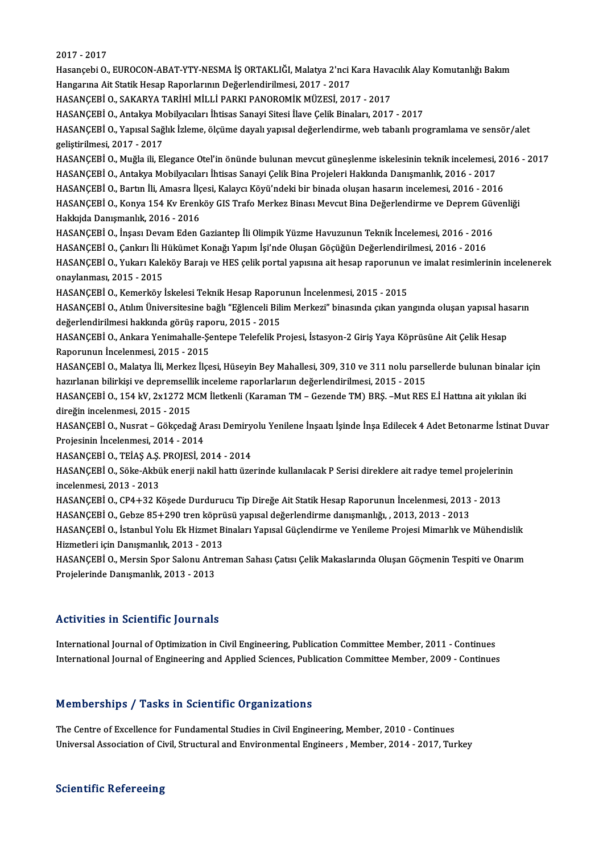2017 -2017

2017 - 2017<br>Hasançebi O., EUROCON-ABAT-YTY-NESMA İŞ ORTAKLIĞI, Malatya 2'nci Kara Havacılık Alay Komutanlığı Bakım<br>Hangarına Ait Statik Hasan Banarlarının Değerlendirilmesi, 2017 - 2017 2017 - 2017<br>Hasançebi O., EUROCON-ABAT-YTY-NESMA İŞ ORTAKLIĞI, Malatya 2'nci I<br>Hangarına Ait Statik Hesap Raporlarının Değerlendirilmesi, 2017 - 2017<br>HASANGERİ O. SAKARYA TARİHİ MÜJ İ RARKI RANOROMİK MÜZESİ, 201 Hasançebi O., EUROCON-ABAT-YTY-NESMA İŞ ORTAKLIĞI, Malatya 2'nci Kara Hava<br>Hangarına Ait Statik Hesap Raporlarının Değerlendirilmesi, 2017 - 2017<br>HASANÇEBİ O., SAKARYA TARİHİ MİLLİ PARKI PANOROMİK MÜZESİ, 2017 - 2017<br>HASAN Hangarına Ait Statik Hesap Raporlarının Değerlendirilmesi, 2017 - 2017<br>HASANÇEBİ O., SAKARYA TARİHİ MİLLİ PARKI PANOROMİK MÜZESİ, 2017 - 2017<br>HASANÇEBİ O., Antakya Mobilyacıları İhtisas Sanayi Sitesi İlave Çelik Binaları, HASANÇEBİ O., SAKARYA TARİHİ MİLLİ PARKI PANOROMİK MÜZESİ, 2017 - 2017<br>HASANÇEBİ O., Antakya Mobilyacıları İhtisas Sanayi Sitesi İlave Çelik Binaları, 2017 - 2017<br>HASANÇEBİ O., Yapısal Sağlık İzleme, ölçüme dayalı yapısal HASANÇEBİ O., Antakya Mo<br>HASANÇEBİ O., Yapısal Sağ<br>geliştirilmesi, 2017 - 2017<br>HASANÇEBİ O. Muğla ili, El HASANÇEBİ O., Yapısal Sağlık İzleme, ölçüme dayalı yapısal değerlendirme, web tabanlı programlama ve sensör/alet<br>geliştirilmesi, 2017 - 2017<br>HASANÇEBİ O., Muğla ili, Elegance Otel'in önünde bulunan mevcut güneşlenme iskele geliştirilmesi, 2017 - 2017<br>HASANÇEBİ O., Muğla ili, Elegance Otel'in önünde bulunan mevcut güneşlenme iskelesinin teknik incelemesi, 2016 - 2017<br>HASANCEBİ O., Antakva Mobilvacıları İhtisas Sanavi Celik Bina Projeleri Hakk HASANÇEBİ O., Muğla ili, Elegance Otel'in önünde bulunan mevcut güneşlenme iskelesinin teknik incelemesi, 20<br>HASANÇEBİ O., Antakya Mobilyacıları İhtisas Sanayi Çelik Bina Projeleri Hakkında Danışmanlık, 2016 - 2017<br>HASANÇE HASANÇEBİ O., Antakya Mobilyacıları İhtisas Sanayi Çelik Bina Projeleri Hakkında Danışmanlık, 2016 - 2017<br>HASANÇEBİ O., Bartın İli, Amasra İlçesi, Kalaycı Köyü'ndeki bir binada oluşan hasarın incelemesi, 2016 - 2016<br>HASANÇ HASANÇEBİ O., Bartın İli, Amasra İlç<br>HASANÇEBİ O., Konya 154 Kv Erenk<br>Hakkıjda Danışmanlık, 2016 - 2016<br>HASANÇEBİ O. İnsası Dayam Eden ( HASANÇEBİ O., Konya 154 Kv Erenköy GIS Trafo Merkez Binası Mevcut Bina Değerlendirme ve Deprem Güvenliği<br>Hakkıjda Danışmanlık, 2016 - 2016<br>HASANÇEBİ O., İnşası Devam Eden Gaziantep İli Olimpik Yüzme Havuzunun Teknik İncele Hakkıjda Danışmanlık, 2016 - 2016<br>HASANÇEBİ O., İnşası Devam Eden Gaziantep İli Olimpik Yüzme Havuzunun Teknik İncelemesi, 2016 - 2016<br>HASANÇEBİ O., Çankırı İli Hükümet Konağı Yapım İşi'nde Oluşan Göçüğün Değerlendirilmesi HASANÇEBİ O., İnşası Devam Eden Gaziantep İli Olimpik Yüzme Havuzunun Teknik İncelemesi, 2016 - 2016<br>HASANÇEBİ O., Çankırı İli Hükümet Konağı Yapım İşi'nde Oluşan Göçüğün Değerlendirilmesi, 2016 - 2016<br>HASANÇEBİ O., Yukarı HASANÇEBİ O., Çankırı İli H<br>HASANÇEBİ O., Yukarı Kale<br>onaylanması, 2015 - 2015<br>HASANÇEBİ O. Komorköv İ HASANÇEBİ O., Yukarı Kaleköy Barajı ve HES çelik portal yapısına ait hesap raporunun<br>onaylanması, 2015 - 2015<br>HASANÇEBİ O., Kemerköy İskelesi Teknik Hesap Raporunun İncelenmesi, 2015 - 2015<br>HASANÇEBİ O., Atlım Üniversitesi onaylanması, 2015 - 2015<br>HASANÇEBİ O., Kemerköy İskelesi Teknik Hesap Raporunun İncelenmesi, 2015 - 2015<br>HASANÇEBİ O., Atılım Üniversitesine bağlı "Eğlenceli Bilim Merkezi" binasında çıkan yangında oluşan yapısal hasarın<br>d HASANÇEBİ O., Kemerköy İskelesi Teknik Hesap Raporunun İncelenmesi, 2015 - 2015 HASANÇEBİ O., Atılım Üniversitesine bağlı "Eğlenceli Bilim Merkezi" binasında çıkan yangında oluşan yapısal ha<br>değerlendirilmesi hakkında görüş raporu, 2015 - 2015<br>HASANÇEBİ O., Ankara Yenimahalle-Şentepe Telefelik Projesi değerlendirilmesi hakkında görüş rap<br>HASANÇEBİ O., Ankara Yenimahalle-Şe<br>Raporunun İncelenmesi, 2015 - 2015<br>HASANÇERİ O. Malatya İli Morkez İlçe HASANÇEBİ O., Ankara Yenimahalle-Şentepe Telefelik Projesi, İstasyon-2 Giriş Yaya Köprüsüne Ait Çelik Hesap<br>Raporunun İncelenmesi, 2015 - 2015<br>HASANÇEBİ O., Malatya İli, Merkez İlçesi, Hüseyin Bey Mahallesi, 309, 310 ve 31 Raporunun İncelenmesi, 2015 - 2015<br>HASANÇEBİ O., Malatya İli, Merkez İlçesi, Hüseyin Bey Mahallesi, 309, 310 ve 311 nolu parsı<br>hazırlanan bilirkişi ve depremsellik inceleme raporlarlarıın değerlendirilmesi, 2015 - 2015<br>HAS HASANÇEBİ O., Malatya İli, Merkez İlçesi, Hüseyin Bey Mahallesi, 309, 310 ve 311 nolu parsellerde bulunan binalar için<br>hazırlanan bilirkişi ve depremsellik inceleme raporlarlarıın değerlendirilmesi, 2015 - 2015<br>HASANÇEBİ O hazırlanan bilirkişi ve depremselli<br>HASANÇEBİ O., 154 kV, 2x1272 M<br>direğin incelenmesi, 2015 - 2015<br>HASANCERİ O. Nusrat - Cöksedai HASANÇEBİ O., 154 kV, 2x1272 MCM İletkenli (Karaman TM – Gezende TM) BRŞ. –Mut RES E.İ Hattına ait yıkılan iki<br>direğin incelenmesi, 2015 - 2015<br>HASANÇEBİ O., Nusrat – Gökçedağ Arası Demiryolu Yenilene İnşaatı İşinde İnşa E direğin incelenmesi, 2015 - 2015<br>HASANÇEBİ O., Nusrat – Gökçedağ Aı<br>Projesinin İncelenmesi, 2014 - 2014<br>HASANÇERİ O. TEİAS A S. PROJESİ 2 HASANÇEBİ O., Nusrat – Gökçedağ Arası Demiry<br>Projesinin İncelenmesi, 2014 - 2014<br>HASANÇEBİ O., TEİAŞ A.Ş. PROJESİ, 2014 - 2014<br>HASANÇEBİ O., Sökç Althük onerji pakil battı üze Projesinin İncelenmesi, 2014 - 2014<br>HASANÇEBİ O., TEİAŞ A.Ş. PROJESİ, 2014 - 2014<br>HASANÇEBİ O., Söke-Akbük enerji nakil hattı üzerinde kullanılacak P Serisi direklere ait radye temel projelerinin HASANÇEBİ O., TEİAŞ A.Ş.<br>HASANÇEBİ O., Söke-Akbü<br>incelenmesi, 2013 - 2013<br>HASANÇEBİ O. CPA 122 K HASANÇEBİ O., Söke-Akbük enerji nakil hattı üzerinde kullanılacak P Serisi direklere ait radye temel projelerin<br>incelenmesi, 2013 - 2013<br>HASANÇEBİ O., CP4+32 Köşede Durdurucu Tip Direğe Ait Statik Hesap Raporunun İncelenme incelenmesi, 2013 - 2013<br>HASANÇEBİ O., CP4+32 Köşede Durdurucu Tip Direğe Ait Statik Hesap Raporunun İncelenmesi, 2013<br>HASANÇEBİ O., Gebze 85+290 tren köprüsü yapısal değerlendirme danışmanlığı, , 2013, 2013 - 2013<br>HASANÇE HASANÇEBİ O., CP4+32 Köşede Durdurucu Tip Direğe Ait Statik Hesap Raporunun İncelenmesi, 2013 - 2013<br>HASANÇEBİ O., Gebze 85+290 tren köprüsü yapısal değerlendirme danışmanlığı, , 2013, 2013 - 2013<br>HASANÇEBİ O., İstanbul Yo HASANÇEBİ O., Gebze 85+290 tren köprü<br>HASANÇEBİ O., İstanbul Yolu Ek Hizmet B<br>Hizmetleri için Danışmanlık, 2013 - 2013<br>HASANÇEBİ O. Morsin Spor Salanu Antra HASANÇEBİ O., İstanbul Yolu Ek Hizmet Binaları Yapısal Güçlendirme ve Yenileme Projesi Mimarlık ve Mühendislik<br>Hizmetleri için Danışmanlık, 2013 - 2013<br>HASANÇEBİ O., Mersin Spor Salonu Antreman Sahası Çatısı Çelik Makaslar Hizmetleri için Danışmanlık, 2013 - 2013<br>HASANÇEBİ O., Mersin Spor Salonu Antreman Sahası Çatısı Çelik Makaslarında Oluşan Göçmenin Tespiti ve Onarım<br>Projelerinde Danışmanlık, 2013 - 2013

### Activities in Scientific Journals

International Journal of Optimization in Civil Engineering, Publication Committee Member, 2011 - Continues International Journal of Engineering and Applied Sciences, Publication Committee Member, 2009 - Continues

## Memberships / Tasks in Scientific Organizations

The Centre of Excellence for Fundamental Studies in Civil Engineering, Member, 2010 - Continues Universal Association of Civil, Structural and Environmental Engineers, Member, 2014 - 2017, Turkey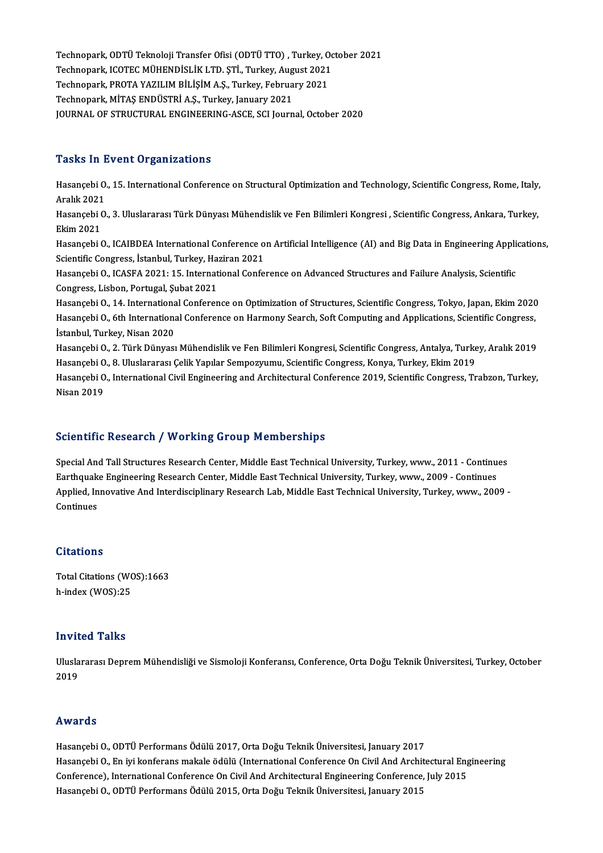Technopark, ODTÜ Teknoloji Transfer Ofisi (ODTÜ TTO) , Turkey, October 2021<br>Technopark, ODTÜ Teknoloji Transfer Ofisi (ODTÜ TTO) , Turkey, October 2021 Technopark, ODTÜ Teknoloji Transfer Ofisi (ODTÜ TTO) , Turkey, Oc<br>Technopark, ICOTEC MÜHENDİSLİK LTD. ŞTİ., Turkey, August 2021<br>Technopark, PROTA XAZU IM RİLİSİM A.S., Turkey, Fehruary 2021 Technopark, ODTÜ Teknoloji Transfer Ofisi (ODTÜ TTO) , Turkey, O<br>Technopark, ICOTEC MÜHENDİSLİK LTD. ŞTİ., Turkey, August 2021<br>Technopark, PROTA YAZILIM BİLİŞİM A.Ş., Turkey, February 2021<br>Technopark, MİTAS ENDÜSTRİ A.S., Technopark, ICOTEC MÜHENDİSLİK LTD. ŞTİ., Turkey, August 2021<br>Technopark, PROTA YAZILIM BİLİŞİM A.Ş., Turkey, February 2021<br>Technopark, MİTAŞ ENDÜSTRİ A.Ş., Turkey, January 2021 JOURNAL OF STRUCTURAL ENGINEERING-ASCE, SCI Journal, October 2020

## **Tasks In Event Organizations**

Tasks In Event Organizations<br>Hasançebi O., 15. International Conference on Structural Optimization and Technology, Scientific Congress, Rome, Italy,<br>Arakk 2021 Hasançebi O.<br>Hasançebi O.<br>Aralık 2021 Hasançebi O., 15. International Conference on Structural Optimization and Technology, Scientific Congress, Rome, Italy,<br>Aralık 2021<br>Hasançebi O., 3. Uluslararası Türk Dünyası Mühendislik ve Fen Bilimleri Kongresi , Scienti Aralık 2021<br>Hasançebi (<br>Ekim 2021<br>Hasansabi ( Hasançebi O., 3. Uluslararası Türk Dünyası Mühendislik ve Fen Bilimleri Kongresi , Scientific Congress, Ankara, Turkey,<br>Ekim 2021<br>Hasançebi O., ICAIBDEA International Conference on Artificial Intelligence (AI) and Big Data Ekim 2021<br>Hasançebi O., ICAIBDEA International Conference o<br>Scientific Congress, İstanbul, Turkey, Haziran 2021<br>Hasansabi O. ICASEA 2021: 15. International Confo Hasançebi O., ICAIBDEA International Conference on Artificial Intelligence (AI) and Big Data in Engineering Appli<br>Scientific Congress, İstanbul, Turkey, Haziran 2021<br>Hasançebi O., ICASFA 2021: 15. International Conference Scientific Congress, İstanbul, Turkey, Haziran 2021<br>Hasançebi O., ICASFA 2021: 15. International Conference on Advanced Structures and Failure Analysis, Scientific<br>Congress, Lisbon, Portugal, Şubat 2021 Hasançebi O., ICASFA 2021: 15. International Conference on Advanced Structures and Failure Analysis, Scientific<br>Congress, Lisbon, Portugal, Șubat 2021<br>Hasançebi O., 14. International Conference on Optimization of Structure Congress, Lisbon, Portugal, Şubat 2021<br>Hasançebi O., 14. International Conference on Optimization of Structures, Scientific Congress, Tokyo, Japan, Ekim 2020<br>Hasançebi O., 6th International Conference on Harmony Search, So Hasançebi O., 14. Internationa<br>Hasançebi O., 6th Internationa<br>İstanbul, Turkey, Nisan 2020<br>Hasançebi O. 2. Türk Dünyası Hasançebi O., 6th International Conference on Harmony Search, Soft Computing and Applications, Scientific Congress,<br>İstanbul, Turkey, Nisan 2020<br>Hasançebi O., 2. Türk Dünyası Mühendislik ve Fen Bilimleri Kongresi, Scientif İstanbul, Turkey, Nisan 2020<br>Hasançebi O., 2. Türk Dünyası Mühendislik ve Fen Bilimleri Kongresi, Scientific Congress, Antalya, Turke<br>Hasançebi O., 8. Uluslararası Çelik Yapılar Sempozyumu, Scientific Congress, Konya, Turk Hasançebi O., 2. Türk Dünyası Mühendislik ve Fen Bilimleri Kongresi, Scientific Congress, Antalya, Turkey, Aralık 2019<br>Hasançebi O., 8. Uluslararası Çelik Yapılar Sempozyumu, Scientific Congress, Konya, Turkey, Ekim 2019<br>H Hasançebi O<br>Hasançebi O<br>Nisan 2019

## Nisan 2019<br>Scientific Research / Working Group Memberships

Special And Tall Structures Research Center, Middle East Technical University, Turkey, www., 2011 - Continues Eccentific Research 7 To Fring of Sup Fremser Sinps<br>Special And Tall Structures Research Center, Middle East Technical University, Turkey, www., 2011 - Continue<br>Annlied Innovative And Intendicainlinew Research Leb, Middle Applied, Innovative And Interdisciplinary Research Lab, Middle East Technical University, Turkey, www., 2009 -<br>Continues Earthquak<br>Applied, In<br>Continues

## **Citations**

Total Citations (WOS):1663 h-index (WOS):25

## Invited Talks

**Invited Talks**<br>Uluslararası Deprem Mühendisliği ve Sismoloji Konferansı, Conference, Orta Doğu Teknik Üniversitesi, Turkey, October<br>2019 11 v 12<br>Ulusla<br>2019 Awards

Hasançebi O., ODTÜ Performans Ödülü 2017, Orta Doğu Teknik Üniversitesi, January 2017 11v ar as<br>Hasançebi O., ODTÜ Performans Ödülü 2017, Orta Doğu Teknik Üniversitesi, January 2017<br>Hasançebi O., En iyi konferans makale ödülü (International Conference On Civil And Architectural Engineering<br>Conference), Inte Hasançebi O., ODTÜ Performans Ödülü 2017, Orta Doğu Teknik Üniversitesi, January 2017<br>Hasançebi O., En iyi konferans makale ödülü (International Conference On Civil And Architectural Eng<br>Conference), International Conferen Conference), International Conference On Civil And Architectural Engineering Conference, July 2015<br>Hasançebi O., ODTÜ Performans Ödülü 2015, Orta Doğu Teknik Üniversitesi, January 2015